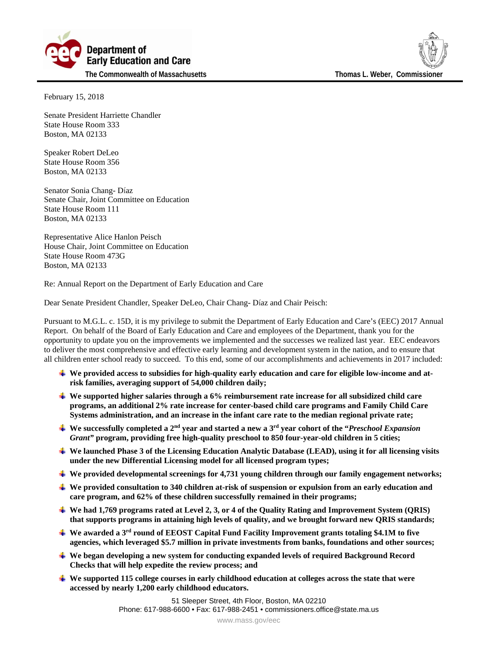



February 15, 2018

Senate President Harriette Chandler State House Room 333 Boston, MA 02133

Speaker Robert DeLeo State House Room 356 Boston, MA 02133

Senator Sonia Chang- Díaz Senate Chair, Joint Committee on Education State House Room 111 Boston, MA 02133

Representative Alice Hanlon Peisch House Chair, Joint Committee on Education State House Room 473G Boston, MA 02133

Re: Annual Report on the Department of Early Education and Care

Dear Senate President Chandler, Speaker DeLeo, Chair Chang- Díaz and Chair Peisch:

Pursuant to M.G.L. c. 15D, it is my privilege to submit the Department of Early Education and Care's (EEC) 2017 Annual Report. On behalf of the Board of Early Education and Care and employees of the Department, thank you for the opportunity to update you on the improvements we implemented and the successes we realized last year. EEC endeavors to deliver the most comprehensive and effective early learning and development system in the nation, and to ensure that all children enter school ready to succeed. To this end, some of our accomplishments and achievements in 2017 included:

- **We provided access to subsidies for high-quality early education and care for eligible low-income and atrisk families, averaging support of 54,000 children daily;**
- **We supported higher salaries through a 6% reimbursement rate increase for all subsidized child care programs, an additional 2% rate increase for center-based child care programs and Family Child Care Systems administration, and an increase in the infant care rate to the median regional private rate;**
- **We successfully completed a 2nd year and started a new a 3rd year cohort of the "***Preschool Expansion Grant"* **program, providing free high-quality preschool to 850 four-year-old children in 5 cities;**
- **We launched Phase 3 of the Licensing Education Analytic Database (LEAD), using it for all licensing visits under the new Differential Licensing model for all licensed program types;**
- **We provided developmental screenings for 4,731 young children through our family engagement networks;**
- **We provided consultation to 340 children at-risk of suspension or expulsion from an early education and care program, and 62% of these children successfully remained in their programs;**
- **We had 1,769 programs rated at Level 2, 3, or 4 of the Quality Rating and Improvement System (QRIS) that supports programs in attaining high levels of quality, and we brought forward new QRIS standards;**
- **We awarded a 3rd round of EEOST Capital Fund Facility Improvement grants totaling \$4.1M to five agencies, which leveraged \$5.7 million in private investments from banks, foundations and other sources;**
- **We began developing a new system for conducting expanded levels of required Background Record Checks that will help expedite the review process; and**
- **We supported 115 college courses in early childhood education at colleges across the state that were accessed by nearly 1,200 early childhood educators.**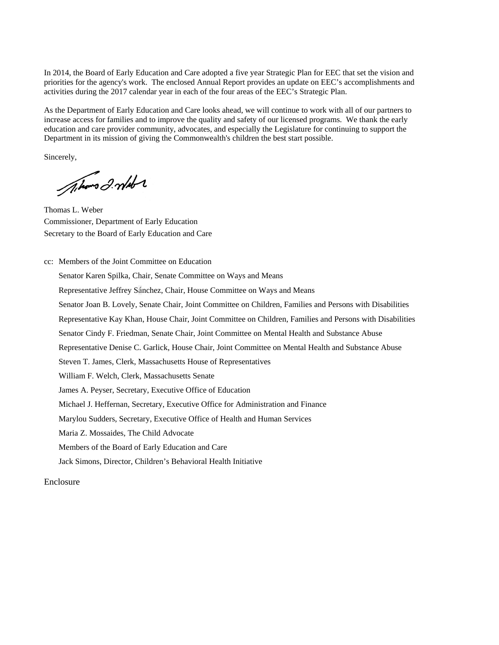In 2014, the Board of Early Education and Care adopted a five year Strategic Plan for EEC that set the vision and priorities for the agency's work. The enclosed Annual Report provides an update on EEC's accomplishments and activities during the 2017 calendar year in each of the four areas of the EEC's Strategic Plan.

As the Department of Early Education and Care looks ahead, we will continue to work with all of our partners to increase access for families and to improve the quality and safety of our licensed programs. We thank the early education and care provider community, advocates, and especially the Legislature for continuing to support the Department in its mission of giving the Commonwealth's children the best start possible.

Sincerely,

Alors 2. mld 2

Thomas L. Weber Commissioner, Department of Early Education Secretary to the Board of Early Education and Care

cc: Members of the Joint Committee on Education Senator Karen Spilka, Chair, Senate Committee on Ways and Means Representative Jeffrey Sánchez, Chair, House Committee on Ways and Means Senator Joan B. Lovely, Senate Chair, Joint Committee on Children, Families and Persons with Disabilities Representative Kay Khan, House Chair, Joint Committee on Children, Families and Persons with Disabilities Senator Cindy F. Friedman, Senate Chair, Joint Committee on Mental Health and Substance Abuse Representative Denise C. Garlick, House Chair, Joint Committee on Mental Health and Substance Abuse Steven T. James, Clerk, Massachusetts House of Representatives William F. Welch, Clerk, Massachusetts Senate James A. Peyser, Secretary, Executive Office of Education Michael J. Heffernan, Secretary, Executive Office for Administration and Finance Marylou Sudders, Secretary, Executive Office of Health and Human Services Maria Z. Mossaides, The Child Advocate Members of the Board of Early Education and Care Jack Simons, Director, Children's Behavioral Health Initiative

Enclosure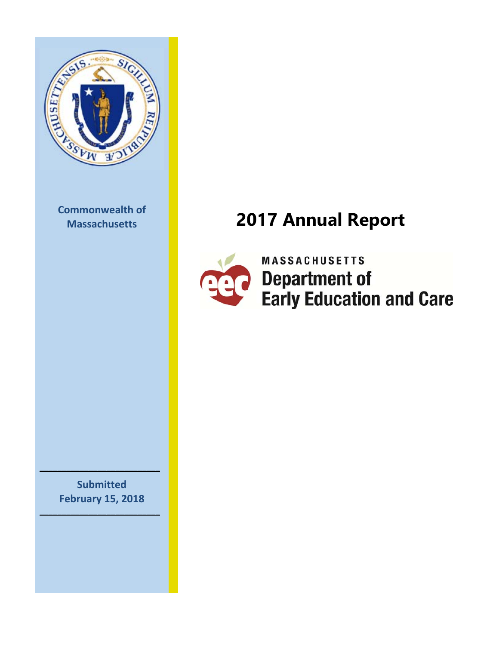

**Commonwealth of**

## **Massachusetts 2017 Annual Report**



> **MASSACHUSETTS Department of Early Education and Care**

**Submitted February 15, 2018**

**\_\_\_\_\_\_\_\_\_\_\_\_\_\_\_\_\_\_\_\_\_\_\_\_\_\_\_**

**\_\_\_\_\_\_\_\_\_\_\_\_\_\_\_\_\_\_\_\_\_\_\_\_\_\_\_**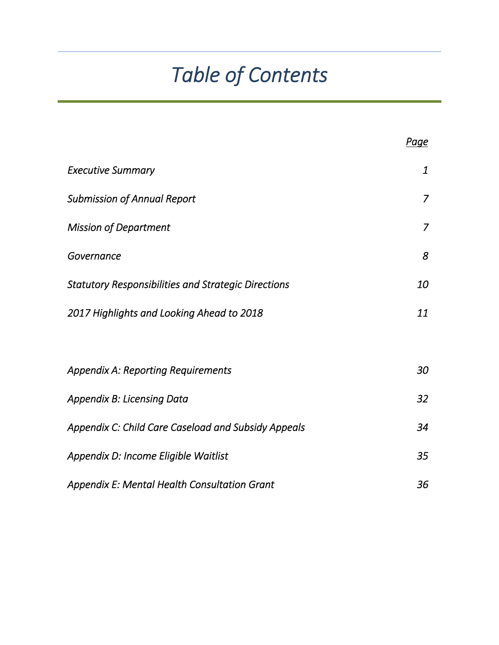# *Table of Contents*

|                                                            | <b>Page</b>      |
|------------------------------------------------------------|------------------|
| <b>Executive Summary</b>                                   | $\boldsymbol{1}$ |
| <b>Submission of Annual Report</b>                         | $\overline{7}$   |
| <b>Mission of Department</b>                               | $\overline{7}$   |
| Governance                                                 | 8                |
| <b>Statutory Responsibilities and Strategic Directions</b> | 10               |
| 2017 Highlights and Looking Ahead to 2018                  | 11               |
|                                                            |                  |
| <b>Appendix A: Reporting Requirements</b>                  | 30               |
| <b>Appendix B: Licensing Data</b>                          | 32               |
| Appendix C: Child Care Caseload and Subsidy Appeals        | 34               |
| Appendix D: Income Eligible Waitlist                       | 35               |
| <b>Appendix E: Mental Health Consultation Grant</b>        | 36               |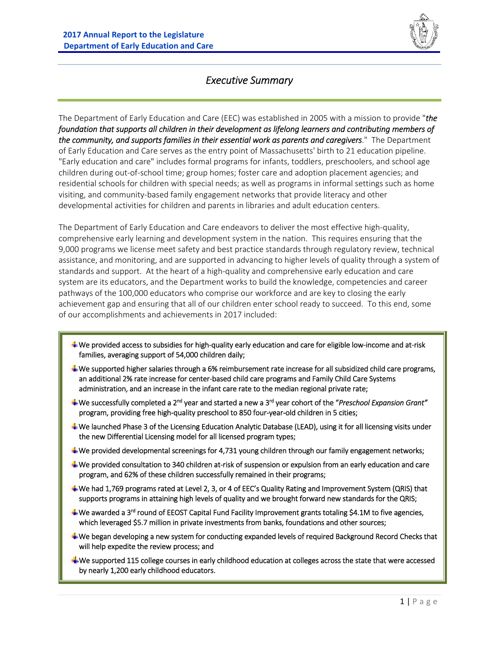

## *Executive Summary*

The Department of Early Education and Care (EEC) was established in 2005 with a mission to provide "*the foundation that supports all children in their development as lifelong learners and contributing members of the community, and supports families in their essential work as parents and caregivers*." The Department of Early Education and Care serves as the entry point of Massachusetts' birth to 21 education pipeline. "Early education and care" includes formal programs for infants, toddlers, preschoolers, and school age children during out‐of‐school time; group homes; foster care and adoption placement agencies; and residential schools for children with special needs; as well as programs in informal settings such as home visiting, and community‐based family engagement networks that provide literacy and other developmental activities for children and parents in libraries and adult education centers.

The Department of Early Education and Care endeavors to deliver the most effective high‐quality, comprehensive early learning and development system in the nation. This requires ensuring that the 9,000 programs we license meet safety and best practice standards through regulatory review, technical assistance, and monitoring, and are supported in advancing to higher levels of quality through a system of standards and support. At the heart of a high‐quality and comprehensive early education and care system are its educators, and the Department works to build the knowledge, competencies and career pathways of the 100,000 educators who comprise our workforce and are key to closing the early achievement gap and ensuring that all of our children enter school ready to succeed. To this end, some of our accomplishments and achievements in 2017 included:

- We provided access to subsidies for high‐quality early education and care for eligible low‐income and at‐risk families, averaging support of 54,000 children daily;
- $\triangleq$  We supported higher salaries through a 6% reimbursement rate increase for all subsidized child care programs, an additional 2% rate increase for center-based child care programs and Family Child Care Systems administration, and an increase in the infant care rate to the median regional private rate;
- We successfully completed a 2nd year and started a new a 3rd year cohort of the "*Preschool Expansion Grant"*  program, providing free high-quality preschool to 850 four-year-old children in 5 cities;
- We launched Phase 3 of the Licensing Education Analytic Database (LEAD), using it for all licensing visits under the new Differential Licensing model for all licensed program types;
- We provided developmental screenings for 4,731 young children through our family engagement networks;
- We provided consultation to 340 children at‐risk of suspension or expulsion from an early education and care program, and 62% of these children successfully remained in their programs;
- We had 1,769 programs rated at Level 2, 3, or 4 of EEC's Quality Rating and Improvement System (QRIS) that supports programs in attaining high levels of quality and we brought forward new standards for the QRIS;
- We awarded a 3<sup>rd</sup> round of EEOST Capital Fund Facility Improvement grants totaling \$4.1M to five agencies, which leveraged \$5.7 million in private investments from banks, foundations and other sources;
- We began developing a new system for conducting expanded levels of required Background Record Checks that will help expedite the review process; and
- We supported 115 college courses in early childhood education at colleges across the state that were accessed by nearly 1,200 early childhood educators.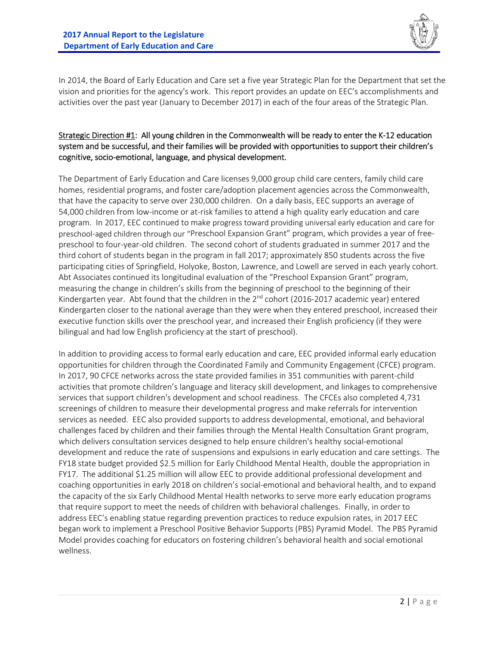

In 2014, the Board of Early Education and Care set a five year Strategic Plan for the Department that set the vision and priorities for the agency's work. This report provides an update on EEC's accomplishments and activities over the past year (January to December 2017) in each of the four areas of the Strategic Plan.

#### Strategic Direction #1: All young children in the Commonwealth will be ready to enter the K‐12 education system and be successful, and their families will be provided with opportunities to support their children's cognitive, socio‐emotional, language, and physical development.

The Department of Early Education and Care licenses 9,000 group child care centers, family child care homes, residential programs, and foster care/adoption placement agencies across the Commonwealth, that have the capacity to serve over 230,000 children. On a daily basis, EEC supports an average of 54,000 children from low-income or at-risk families to attend a high quality early education and care program. In 2017, EEC continued to make progress toward providing universal early education and care for preschool-aged children through our "Preschool Expansion Grant" program, which provides a year of freepreschool to four‐year‐old children. The second cohort of students graduated in summer 2017 and the third cohort of students began in the program in fall 2017; approximately 850 students across the five participating cities of Springfield, Holyoke, Boston, Lawrence, and Lowell are served in each yearly cohort. Abt Associates continued its longitudinal evaluation of the "Preschool Expansion Grant" program, measuring the change in children's skills from the beginning of preschool to the beginning of their Kindergarten year. Abt found that the children in the 2<sup>nd</sup> cohort (2016-2017 academic year) entered Kindergarten closer to the national average than they were when they entered preschool, increased their executive function skills over the preschool year, and increased their English proficiency (if they were bilingual and had low English proficiency at the start of preschool).

In addition to providing access to formal early education and care, EEC provided informal early education opportunities for children through the Coordinated Family and Community Engagement (CFCE) program. In 2017, 90 CFCE networks across the state provided families in 351 communities with parent‐child activities that promote children's language and literacy skill development, and linkages to comprehensive services that support children's development and school readiness. The CFCEs also completed 4,731 screenings of children to measure their developmental progress and make referrals for intervention services as needed. EEC also provided supports to address developmental, emotional, and behavioral challenges faced by children and their families through the Mental Health Consultation Grant program, which delivers consultation services designed to help ensure children's healthy social‐emotional development and reduce the rate of suspensions and expulsions in early education and care settings. The FY18 state budget provided \$2.5 million for Early Childhood Mental Health, double the appropriation in FY17. The additional \$1.25 million will allow EEC to provide additional professional development and coaching opportunities in early 2018 on children's social‐emotional and behavioral health, and to expand the capacity of the six Early Childhood Mental Health networks to serve more early education programs that require support to meet the needs of children with behavioral challenges. Finally, in order to address EEC's enabling statue regarding prevention practices to reduce expulsion rates, in 2017 EEC began work to implement a Preschool Positive Behavior Supports (PBS) Pyramid Model. The PBS Pyramid Model provides coaching for educators on fostering children's behavioral health and social emotional wellness.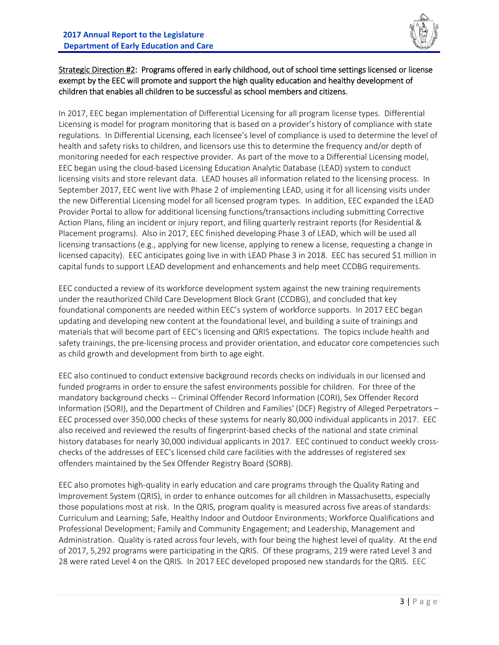

#### Strategic Direction #2: Programs offered in early childhood, out of school time settings licensed or license exempt by the EEC will promote and support the high quality education and healthy development of children that enables all children to be successful as school members and citizens.

In 2017, EEC began implementation of Differential Licensing for all program license types. Differential Licensing is model for program monitoring that is based on a provider's history of compliance with state regulations. In Differential Licensing, each licensee's level of compliance is used to determine the level of health and safety risks to children, and licensors use this to determine the frequency and/or depth of monitoring needed for each respective provider. As part of the move to a Differential Licensing model, EEC began using the cloud‐based Licensing Education Analytic Database (LEAD) system to conduct licensing visits and store relevant data. LEAD houses all information related to the licensing process. In September 2017, EEC went live with Phase 2 of implementing LEAD, using it for all licensing visits under the new Differential Licensing model for all licensed program types. In addition, EEC expanded the LEAD Provider Portal to allow for additional licensing functions/transactions including submitting Corrective Action Plans, filing an incident or injury report, and filing quarterly restraint reports (for Residential & Placement programs). Also in 2017, EEC finished developing Phase 3 of LEAD, which will be used all licensing transactions (e.g., applying for new license, applying to renew a license, requesting a change in licensed capacity). EEC anticipates going live in with LEAD Phase 3 in 2018. EEC has secured \$1 million in capital funds to support LEAD development and enhancements and help meet CCDBG requirements.

EEC conducted a review of its workforce development system against the new training requirements under the reauthorized Child Care Development Block Grant (CCDBG), and concluded that key foundational components are needed within EEC's system of workforce supports. In 2017 EEC began updating and developing new content at the foundational level, and building a suite of trainings and materials that will become part of EEC's licensing and QRIS expectations. The topics include health and safety trainings, the pre-licensing process and provider orientation, and educator core competencies such as child growth and development from birth to age eight.

EEC also continued to conduct extensive background records checks on individuals in our licensed and funded programs in order to ensure the safest environments possible for children. For three of the mandatory background checks ‐‐ Criminal Offender Record Information (CORI), Sex Offender Record Information (SORI), and the Department of Children and Families' (DCF) Registry of Alleged Perpetrators – EEC processed over 350,000 checks of these systems for nearly 80,000 individual applicants in 2017. EEC also received and reviewed the results of fingerprint-based checks of the national and state criminal history databases for nearly 30,000 individual applicants in 2017. EEC continued to conduct weekly crosschecks of the addresses of EEC's licensed child care facilities with the addresses of registered sex offenders maintained by the Sex Offender Registry Board (SORB).

EEC also promotes high‐quality in early education and care programs through the Quality Rating and Improvement System (QRIS), in order to enhance outcomes for all children in Massachusetts, especially those populations most at risk. In the QRIS, program quality is measured across five areas of standards: Curriculum and Learning; Safe, Healthy Indoor and Outdoor Environments; Workforce Qualifications and Professional Development; Family and Community Engagement; and Leadership, Management and Administration. Quality is rated across four levels, with four being the highest level of quality. At the end of 2017, 5,292 programs were participating in the QRIS. Of these programs, 219 were rated Level 3 and 28 were rated Level 4 on the QRIS. In 2017 EEC developed proposed new standards for the QRIS. EEC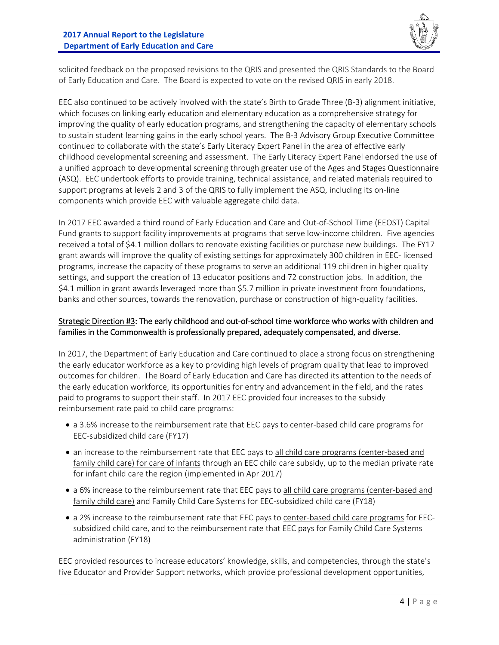

solicited feedback on the proposed revisions to the QRIS and presented the QRIS Standards to the Board of Early Education and Care. The Board is expected to vote on the revised QRIS in early 2018.

EEC also continued to be actively involved with the state's Birth to Grade Three (B‐3) alignment initiative, which focuses on linking early education and elementary education as a comprehensive strategy for improving the quality of early education programs, and strengthening the capacity of elementary schools to sustain student learning gains in the early school years. The B‐3 Advisory Group Executive Committee continued to collaborate with the state's Early Literacy Expert Panel in the area of effective early childhood developmental screening and assessment. The Early Literacy Expert Panel endorsed the use of a unified approach to developmental screening through greater use of the Ages and Stages Questionnaire (ASQ). EEC undertook efforts to provide training, technical assistance, and related materials required to support programs at levels 2 and 3 of the QRIS to fully implement the ASQ, including its on-line components which provide EEC with valuable aggregate child data.

In 2017 EEC awarded a third round of Early Education and Care and Out‐of‐School Time (EEOST) Capital Fund grants to support facility improvements at programs that serve low-income children. Five agencies received a total of \$4.1 million dollars to renovate existing facilities or purchase new buildings. The FY17 grant awards will improve the quality of existing settings for approximately 300 children in EEC‐ licensed programs, increase the capacity of these programs to serve an additional 119 children in higher quality settings, and support the creation of 13 educator positions and 72 construction jobs. In addition, the \$4.1 million in grant awards leveraged more than \$5.7 million in private investment from foundations, banks and other sources, towards the renovation, purchase or construction of high‐quality facilities.

#### Strategic Direction #3: The early childhood and out‐of‐school time workforce who works with children and families in the Commonwealth is professionally prepared, adequately compensated, and diverse.

In 2017, the Department of Early Education and Care continued to place a strong focus on strengthening the early educator workforce as a key to providing high levels of program quality that lead to improved outcomes for children. The Board of Early Education and Care has directed its attention to the needs of the early education workforce, its opportunities for entry and advancement in the field, and the rates paid to programs to support their staff. In 2017 EEC provided four increases to the subsidy reimbursement rate paid to child care programs:

- a 3.6% increase to the reimbursement rate that EEC pays to center-based child care programs for EEC‐subsidized child care (FY17)
- an increase to the reimbursement rate that EEC pays to all child care programs (center-based and family child care) for care of infants through an EEC child care subsidy, up to the median private rate for infant child care the region (implemented in Apr 2017)
- a 6% increase to the reimbursement rate that EEC pays to all child care programs (center-based and family child care) and Family Child Care Systems for EEC-subsidized child care (FY18)
- a 2% increase to the reimbursement rate that EEC pays to center-based child care programs for EECsubsidized child care, and to the reimbursement rate that EEC pays for Family Child Care Systems administration (FY18)

EEC provided resources to increase educators' knowledge, skills, and competencies, through the state's five Educator and Provider Support networks, which provide professional development opportunities,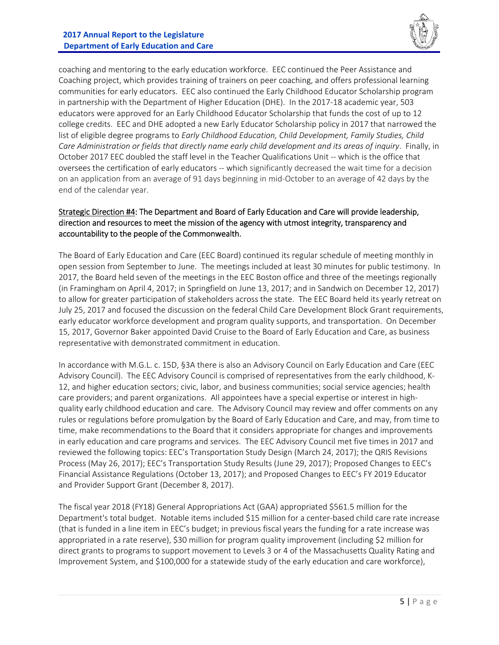

coaching and mentoring to the early education workforce. EEC continued the Peer Assistance and Coaching project, which provides training of trainers on peer coaching, and offers professional learning communities for early educators. EEC also continued the Early Childhood Educator Scholarship program in partnership with the Department of Higher Education (DHE). In the 2017-18 academic year, 503 educators were approved for an Early Childhood Educator Scholarship that funds the cost of up to 12 college credits. EEC and DHE adopted a new Early Educator Scholarship policy in 2017 that narrowed the list of eligible degree programs to *Early Childhood Education, Child Development, Family Studies, Child Care Administration or fields that directly name early child development and its areas of inquiry*. Finally, in October 2017 EEC doubled the staff level in the Teacher Qualifications Unit ‐‐ which is the office that oversees the certification of early educators ‐‐ which significantly decreased the wait time for a decision on an application from an average of 91 days beginning in mid‐October to an average of 42 days by the end of the calendar year.

#### Strategic Direction #4: The Department and Board of Early Education and Care will provide leadership, direction and resources to meet the mission of the agency with utmost integrity, transparency and accountability to the people of the Commonwealth.

The Board of Early Education and Care (EEC Board) continued its regular schedule of meeting monthly in open session from September to June. The meetings included at least 30 minutes for public testimony. In 2017, the Board held seven of the meetings in the EEC Boston office and three of the meetings regionally (in Framingham on April 4, 2017; in Springfield on June 13, 2017; and in Sandwich on December 12, 2017) to allow for greater participation of stakeholders across the state. The EEC Board held its yearly retreat on July 25, 2017 and focused the discussion on the federal Child Care Development Block Grant requirements, early educator workforce development and program quality supports, and transportation. On December 15, 2017, Governor Baker appointed David Cruise to the Board of Early Education and Care, as business representative with demonstrated commitment in education.

In accordance with M.G.L. c. 15D, §3A there is also an Advisory Council on Early Education and Care (EEC Advisory Council). The EEC Advisory Council is comprised of representatives from the early childhood, K‐ 12, and higher education sectors; civic, labor, and business communities; social service agencies; health care providers; and parent organizations. All appointees have a special expertise or interest in highquality early childhood education and care. The Advisory Council may review and offer comments on any rules or regulations before promulgation by the Board of Early Education and Care, and may, from time to time, make recommendations to the Board that it considers appropriate for changes and improvements in early education and care programs and services. The EEC Advisory Council met five times in 2017 and reviewed the following topics: EEC's Transportation Study Design (March 24, 2017); the QRIS Revisions Process (May 26, 2017); EEC's Transportation Study Results (June 29, 2017); Proposed Changes to EEC's Financial Assistance Regulations (October 13, 2017); and Proposed Changes to EEC's FY 2019 Educator and Provider Support Grant (December 8, 2017).

The fiscal year 2018 (FY18) General Appropriations Act (GAA) appropriated \$561.5 million for the Department's total budget. Notable items included \$15 million for a center-based child care rate increase (that is funded in a line item in EEC's budget; in previous fiscal years the funding for a rate increase was appropriated in a rate reserve), \$30 million for program quality improvement (including \$2 million for direct grants to programs to support movement to Levels 3 or 4 of the Massachusetts Quality Rating and Improvement System, and \$100,000 for a statewide study of the early education and care workforce),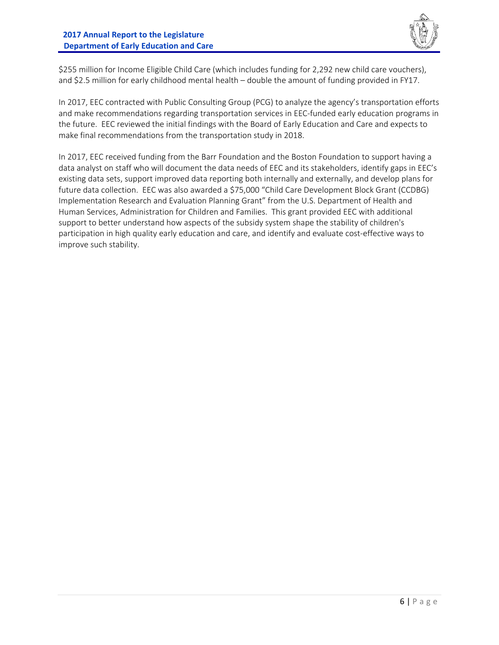

\$255 million for Income Eligible Child Care (which includes funding for 2,292 new child care vouchers), and \$2.5 million for early childhood mental health – double the amount of funding provided in FY17.

In 2017, EEC contracted with Public Consulting Group (PCG) to analyze the agency's transportation efforts and make recommendations regarding transportation services in EEC‐funded early education programs in the future. EEC reviewed the initial findings with the Board of Early Education and Care and expects to make final recommendations from the transportation study in 2018.

In 2017, EEC received funding from the Barr Foundation and the Boston Foundation to support having a data analyst on staff who will document the data needs of EEC and its stakeholders, identify gaps in EEC's existing data sets, support improved data reporting both internally and externally, and develop plans for future data collection. EEC was also awarded a \$75,000 "Child Care Development Block Grant (CCDBG) Implementation Research and Evaluation Planning Grant" from the U.S. Department of Health and Human Services, Administration for Children and Families. This grant provided EEC with additional support to better understand how aspects of the subsidy system shape the stability of children's participation in high quality early education and care, and identify and evaluate cost-effective ways to improve such stability.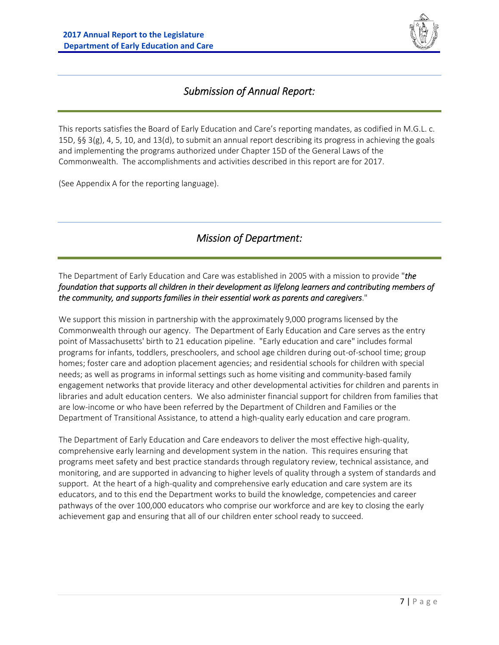

## *Submission of Annual Report:*

This reports satisfies the Board of Early Education and Care's reporting mandates, as codified in M.G.L. c. 15D, §§ 3(g), 4, 5, 10, and 13(d), to submit an annual report describing its progress in achieving the goals and implementing the programs authorized under Chapter 15D of the General Laws of the Commonwealth. The accomplishments and activities described in this report are for 2017.

(See Appendix A for the reporting language).

## *Mission of Department:*

The Department of Early Education and Care was established in 2005 with a mission to provide "*the foundation that supports all children in their development as lifelong learners and contributing members of the community, and supports families in their essential work as parents and caregivers*."

We support this mission in partnership with the approximately 9,000 programs licensed by the Commonwealth through our agency. The Department of Early Education and Care serves as the entry point of Massachusetts' birth to 21 education pipeline. "Early education and care" includes formal programs for infants, toddlers, preschoolers, and school age children during out‐of‐school time; group homes; foster care and adoption placement agencies; and residential schools for children with special needs; as well as programs in informal settings such as home visiting and community‐based family engagement networks that provide literacy and other developmental activities for children and parents in libraries and adult education centers. We also administer financial support for children from families that are low-income or who have been referred by the Department of Children and Families or the Department of Transitional Assistance, to attend a high‐quality early education and care program.

The Department of Early Education and Care endeavors to deliver the most effective high‐quality, comprehensive early learning and development system in the nation. This requires ensuring that programs meet safety and best practice standards through regulatory review, technical assistance, and monitoring, and are supported in advancing to higher levels of quality through a system of standards and support. At the heart of a high-quality and comprehensive early education and care system are its educators, and to this end the Department works to build the knowledge, competencies and career pathways of the over 100,000 educators who comprise our workforce and are key to closing the early achievement gap and ensuring that all of our children enter school ready to succeed.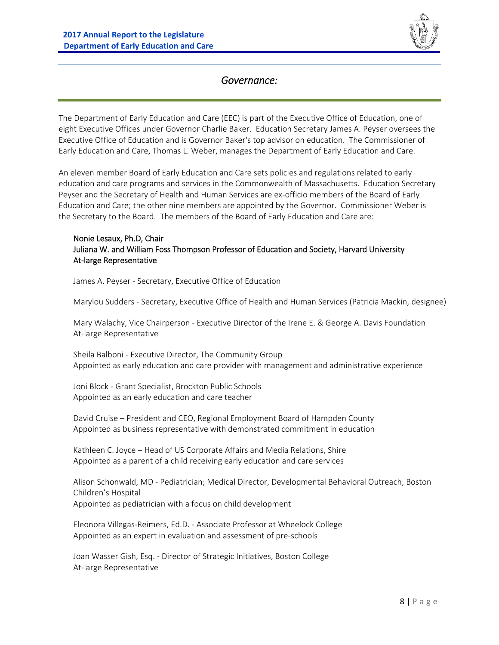

## *Governance:*

The Department of Early Education and Care (EEC) is part of the Executive Office of Education, one of eight Executive Offices under Governor Charlie Baker. Education Secretary James A. Peyser oversees the Executive Office of Education and is Governor Baker's top advisor on education. The Commissioner of Early Education and Care, Thomas L. Weber, manages the Department of Early Education and Care.

An eleven member Board of Early Education and Care sets policies and regulations related to early education and care programs and services in the Commonwealth of Massachusetts. Education Secretary Peyser and the Secretary of Health and Human Services are ex‐officio members of the Board of Early Education and Care; the other nine members are appointed by the Governor. Commissioner Weber is the Secretary to the Board. The members of the Board of Early Education and Care are:

#### Nonie Lesaux, Ph.D, Chair Juliana W. and William Foss Thompson Professor of Education and Society, Harvard University At‐large Representative

James A. Peyser ‐ Secretary, Executive Office of Education

Marylou Sudders ‐ Secretary, Executive Office of Health and Human Services (Patricia Mackin, designee)

Mary Walachy, Vice Chairperson ‐ Executive Director of the Irene E. & George A. Davis Foundation At‐large Representative

Sheila Balboni ‐ Executive Director, The Community Group Appointed as early education and care provider with management and administrative experience

Joni Block ‐ Grant Specialist, Brockton Public Schools Appointed as an early education and care teacher

David Cruise – President and CEO, Regional Employment Board of Hampden County Appointed as business representative with demonstrated commitment in education

Kathleen C. Joyce – Head of US Corporate Affairs and Media Relations, Shire Appointed as a parent of a child receiving early education and care services

Alison Schonwald, MD ‐ Pediatrician; Medical Director, Developmental Behavioral Outreach, Boston Children's Hospital Appointed as pediatrician with a focus on child development

Eleonora Villegas‐Reimers, Ed.D. ‐ Associate Professor at Wheelock College Appointed as an expert in evaluation and assessment of pre‐schools

Joan Wasser Gish, Esq. ‐ Director of Strategic Initiatives, Boston College At‐large Representative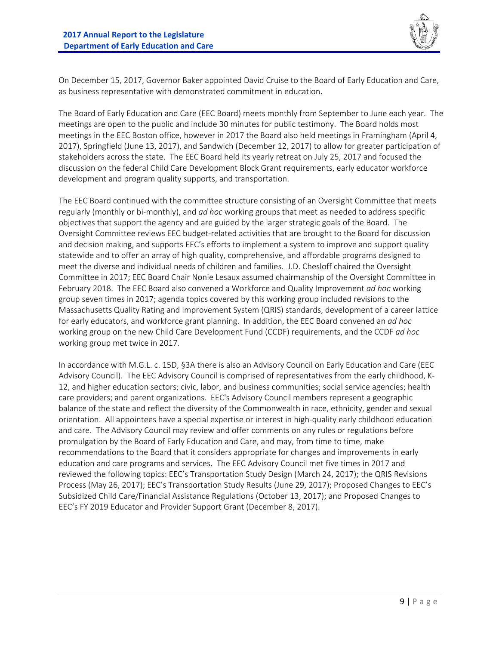

On December 15, 2017, Governor Baker appointed David Cruise to the Board of Early Education and Care, as business representative with demonstrated commitment in education.

The Board of Early Education and Care (EEC Board) meets monthly from September to June each year. The meetings are open to the public and include 30 minutes for public testimony. The Board holds most meetings in the EEC Boston office, however in 2017 the Board also held meetings in Framingham (April 4, 2017), Springfield (June 13, 2017), and Sandwich (December 12, 2017) to allow for greater participation of stakeholders across the state. The EEC Board held its yearly retreat on July 25, 2017 and focused the discussion on the federal Child Care Development Block Grant requirements, early educator workforce development and program quality supports, and transportation.

The EEC Board continued with the committee structure consisting of an Oversight Committee that meets regularly (monthly or bi‐monthly), and *ad hoc* working groups that meet as needed to address specific objectives that support the agency and are guided by the larger strategic goals of the Board. The Oversight Committee reviews EEC budget‐related activities that are brought to the Board for discussion and decision making, and supports EEC's efforts to implement a system to improve and support quality statewide and to offer an array of high quality, comprehensive, and affordable programs designed to meet the diverse and individual needs of children and families. J.D. Chesloff chaired the Oversight Committee in 2017; EEC Board Chair Nonie Lesaux assumed chairmanship of the Oversight Committee in February 2018. The EEC Board also convened a Workforce and Quality Improvement *ad hoc* working group seven times in 2017; agenda topics covered by this working group included revisions to the Massachusetts Quality Rating and Improvement System (QRIS) standards, development of a career lattice for early educators, and workforce grant planning. In addition, the EEC Board convened an *ad hoc* working group on the new Child Care Development Fund (CCDF) requirements, and the CCDF *ad hoc* working group met twice in 2017.

In accordance with M.G.L. c. 15D, §3A there is also an Advisory Council on Early Education and Care (EEC Advisory Council). The EEC Advisory Council is comprised of representatives from the early childhood, K‐ 12, and higher education sectors; civic, labor, and business communities; social service agencies; health care providers; and parent organizations. EEC's Advisory Council members represent a geographic balance of the state and reflect the diversity of the Commonwealth in race, ethnicity, gender and sexual orientation. All appointees have a special expertise or interest in high‐quality early childhood education and care. The Advisory Council may review and offer comments on any rules or regulations before promulgation by the Board of Early Education and Care, and may, from time to time, make recommendations to the Board that it considers appropriate for changes and improvements in early education and care programs and services. The EEC Advisory Council met five times in 2017 and reviewed the following topics: EEC's Transportation Study Design (March 24, 2017); the QRIS Revisions Process (May 26, 2017); EEC's Transportation Study Results (June 29, 2017); Proposed Changes to EEC's Subsidized Child Care/Financial Assistance Regulations (October 13, 2017); and Proposed Changes to EEC's FY 2019 Educator and Provider Support Grant (December 8, 2017).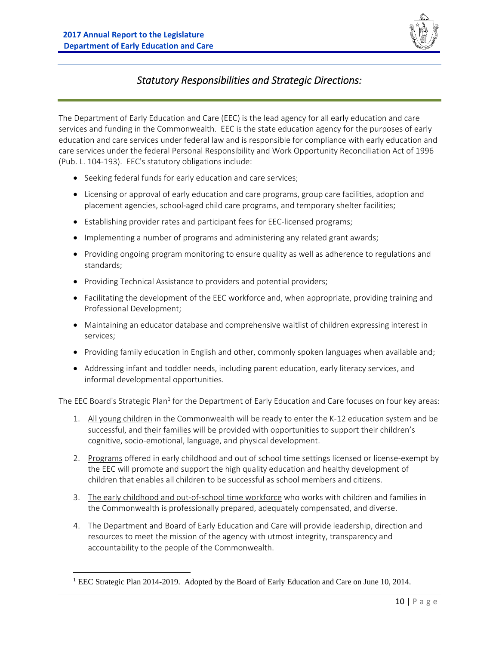

## *Statutory Responsibilities and Strategic Directions:*

The Department of Early Education and Care (EEC) is the lead agency for all early education and care services and funding in the Commonwealth. EEC is the state education agency for the purposes of early education and care services under federal law and is responsible for compliance with early education and care services under the federal Personal Responsibility and Work Opportunity Reconciliation Act of 1996 (Pub. L. 104‐193). EEC's statutory obligations include:

- Seeking federal funds for early education and care services;
- Licensing or approval of early education and care programs, group care facilities, adoption and placement agencies, school‐aged child care programs, and temporary shelter facilities;
- Establishing provider rates and participant fees for EEC-licensed programs;
- Implementing a number of programs and administering any related grant awards;
- Providing ongoing program monitoring to ensure quality as well as adherence to regulations and standards;
- Providing Technical Assistance to providers and potential providers;
- Facilitating the development of the EEC workforce and, when appropriate, providing training and Professional Development;
- Maintaining an educator database and comprehensive waitlist of children expressing interest in services;
- Providing family education in English and other, commonly spoken languages when available and;
- Addressing infant and toddler needs, including parent education, early literacy services, and informal developmental opportunities.

The EEC Board's Strategic Plan<sup>1</sup> for the Department of Early Education and Care focuses on four key areas:

- 1. All young children in the Commonwealth will be ready to enter the K‐12 education system and be successful, and their families will be provided with opportunities to support their children's cognitive, socio‐emotional, language, and physical development.
- 2. Programs offered in early childhood and out of school time settings licensed or license-exempt by the EEC will promote and support the high quality education and healthy development of children that enables all children to be successful as school members and citizens.
- 3. The early childhood and out‐of‐school time workforce who works with children and families in the Commonwealth is professionally prepared, adequately compensated, and diverse.
- 4. The Department and Board of Early Education and Care will provide leadership, direction and resources to meet the mission of the agency with utmost integrity, transparency and accountability to the people of the Commonwealth.

<sup>&</sup>lt;sup>1</sup> EEC Strategic Plan 2014-2019. Adopted by the Board of Early Education and Care on June 10, 2014.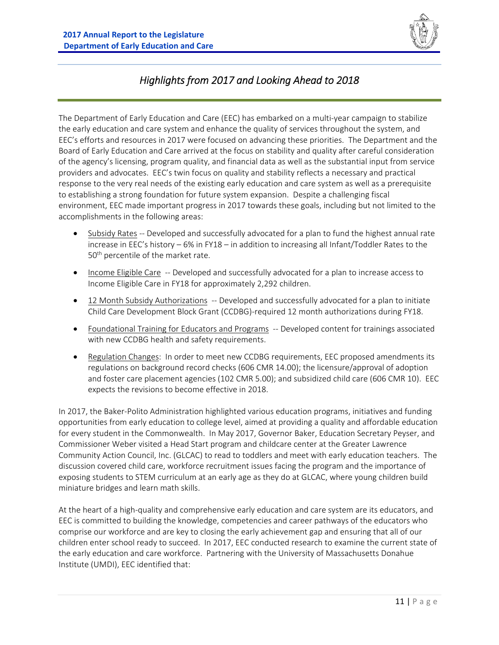

## *Highlights from 2017 and Looking Ahead to 2018*

The Department of Early Education and Care (EEC) has embarked on a multi‐year campaign to stabilize the early education and care system and enhance the quality of services throughout the system, and EEC's efforts and resources in 2017 were focused on advancing these priorities. The Department and the Board of Early Education and Care arrived at the focus on stability and quality after careful consideration of the agency's licensing, program quality, and financial data as well as the substantial input from service providers and advocates. EEC's twin focus on quality and stability reflects a necessary and practical response to the very real needs of the existing early education and care system as well as a prerequisite to establishing a strong foundation for future system expansion. Despite a challenging fiscal environment, EEC made important progress in 2017 towards these goals, including but not limited to the accomplishments in the following areas:

- Subsidy Rates ‐‐ Developed and successfully advocated for a plan to fund the highest annual rate increase in EEC's history – 6% in FY18 – in addition to increasing all Infant/Toddler Rates to the 50<sup>th</sup> percentile of the market rate.
- Income Eligible Care -- Developed and successfully advocated for a plan to increase access to Income Eligible Care in FY18 for approximately 2,292 children.
- 12 Month Subsidy Authorizations -- Developed and successfully advocated for a plan to initiate Child Care Development Block Grant (CCDBG)‐required 12 month authorizations during FY18.
- Foundational Training for Educators and Programs -- Developed content for trainings associated with new CCDBG health and safety requirements.
- Regulation Changes: In order to meet new CCDBG requirements, EEC proposed amendments its regulations on background record checks (606 CMR 14.00); the licensure/approval of adoption and foster care placement agencies (102 CMR 5.00); and subsidized child care (606 CMR 10). EEC expects the revisions to become effective in 2018.

In 2017, the Baker-Polito Administration highlighted various education programs, initiatives and funding opportunities from early education to college level, aimed at providing a quality and affordable education for every student in the Commonwealth. In May 2017, Governor Baker, Education Secretary Peyser, and Commissioner Weber visited a Head Start program and childcare center at the Greater Lawrence Community Action Council, Inc. (GLCAC) to read to toddlers and meet with early education teachers. The discussion covered child care, workforce recruitment issues facing the program and the importance of exposing students to STEM curriculum at an early age as they do at GLCAC, where young children build miniature bridges and learn math skills.

At the heart of a high-quality and comprehensive early education and care system are its educators, and EEC is committed to building the knowledge, competencies and career pathways of the educators who comprise our workforce and are key to closing the early achievement gap and ensuring that all of our children enter school ready to succeed. In 2017, EEC conducted research to examine the current state of the early education and care workforce. Partnering with the University of Massachusetts Donahue Institute (UMDI), EEC identified that: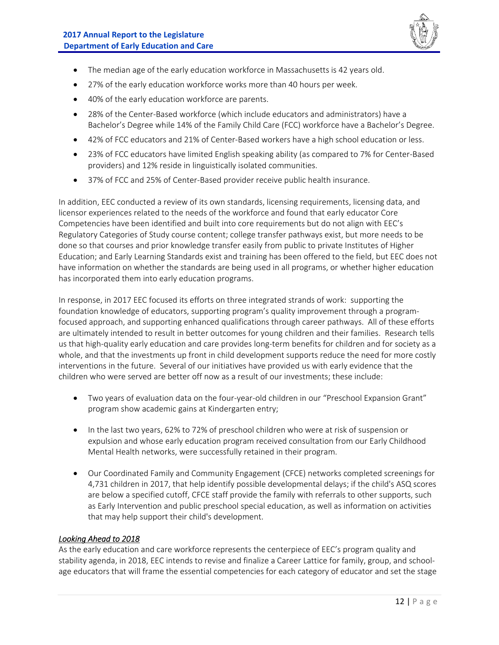

- The median age of the early education workforce in Massachusetts is 42 years old.
- 27% of the early education workforce works more than 40 hours per week.
- 40% of the early education workforce are parents.
- 28% of the Center-Based workforce (which include educators and administrators) have a Bachelor's Degree while 14% of the Family Child Care (FCC) workforce have a Bachelor's Degree.
- 42% of FCC educators and 21% of Center-Based workers have a high school education or less.
- 23% of FCC educators have limited English speaking ability (as compared to 7% for Center-Based providers) and 12% reside in linguistically isolated communities.
- 37% of FCC and 25% of Center-Based provider receive public health insurance.

In addition, EEC conducted a review of its own standards, licensing requirements, licensing data, and licensor experiences related to the needs of the workforce and found that early educator Core Competencies have been identified and built into core requirements but do not align with EEC's Regulatory Categories of Study course content; college transfer pathways exist, but more needs to be done so that courses and prior knowledge transfer easily from public to private Institutes of Higher Education; and Early Learning Standards exist and training has been offered to the field, but EEC does not have information on whether the standards are being used in all programs, or whether higher education has incorporated them into early education programs.

In response, in 2017 EEC focused its efforts on three integrated strands of work: supporting the foundation knowledge of educators, supporting program's quality improvement through a program‐ focused approach, and supporting enhanced qualifications through career pathways. All of these efforts are ultimately intended to result in better outcomes for young children and their families. Research tells us that high-quality early education and care provides long-term benefits for children and for society as a whole, and that the investments up front in child development supports reduce the need for more costly interventions in the future. Several of our initiatives have provided us with early evidence that the children who were served are better off now as a result of our investments; these include:

- Two years of evaluation data on the four-year-old children in our "Preschool Expansion Grant" program show academic gains at Kindergarten entry;
- In the last two years, 62% to 72% of preschool children who were at risk of suspension or expulsion and whose early education program received consultation from our Early Childhood Mental Health networks, were successfully retained in their program.
- Our Coordinated Family and Community Engagement (CFCE) networks completed screenings for 4,731 children in 2017, that help identify possible developmental delays; if the child's ASQ scores are below a specified cutoff, CFCE staff provide the family with referrals to other supports, such as Early Intervention and public preschool special education, as well as information on activities that may help support their child's development.

#### *Looking Ahead to 2018*

As the early education and care workforce represents the centerpiece of EEC's program quality and stability agenda, in 2018, EEC intends to revise and finalize a Career Lattice for family, group, and school‐ age educators that will frame the essential competencies for each category of educator and set the stage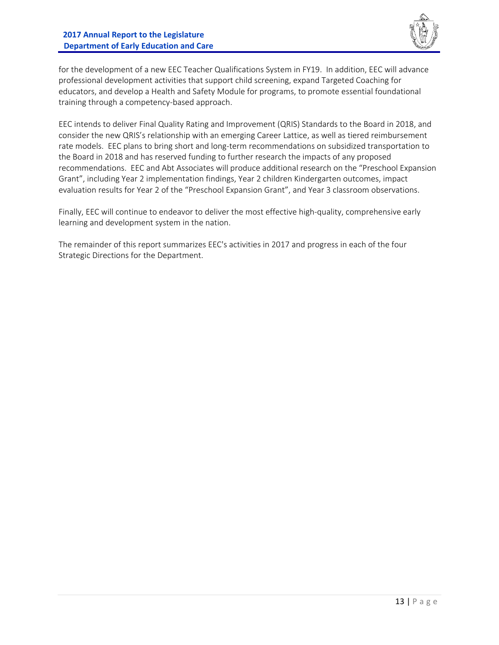

for the development of a new EEC Teacher Qualifications System in FY19. In addition, EEC will advance professional development activities that support child screening, expand Targeted Coaching for educators, and develop a Health and Safety Module for programs, to promote essential foundational training through a competency‐based approach.

EEC intends to deliver Final Quality Rating and Improvement (QRIS) Standards to the Board in 2018, and consider the new QRIS's relationship with an emerging Career Lattice, as well as tiered reimbursement rate models. EEC plans to bring short and long-term recommendations on subsidized transportation to the Board in 2018 and has reserved funding to further research the impacts of any proposed recommendations. EEC and Abt Associates will produce additional research on the "Preschool Expansion Grant", including Year 2 implementation findings, Year 2 children Kindergarten outcomes, impact evaluation results for Year 2 of the "Preschool Expansion Grant", and Year 3 classroom observations.

Finally, EEC will continue to endeavor to deliver the most effective high-quality, comprehensive early learning and development system in the nation.

The remainder of this report summarizes EEC's activities in 2017 and progress in each of the four Strategic Directions for the Department.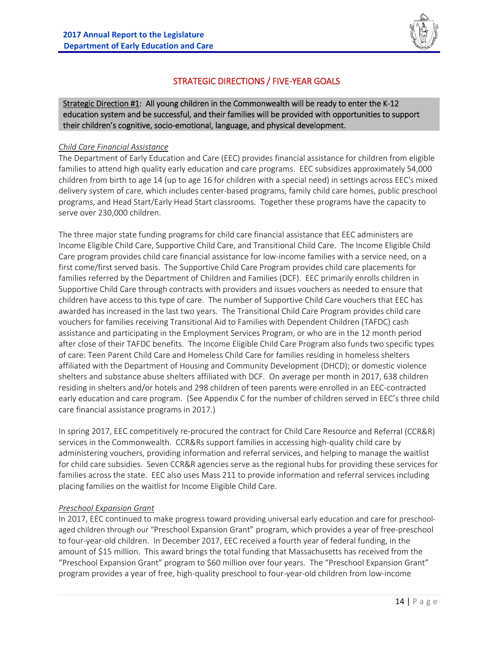

## STRATEGIC DIRECTIONS / FIVE‐YEAR GOALS

Strategic Direction #1: All young children in the Commonwealth will be ready to enter the K-12 education system and be successful, and their families will be provided with opportunities to support their children's cognitive, socio‐emotional, language, and physical development.

#### *Child Care Financial Assistance*

The Department of Early Education and Care (EEC) provides financial assistance for children from eligible families to attend high quality early education and care programs. EEC subsidizes approximately 54,000 children from birth to age 14 (up to age 16 for children with a special need) in settings across EEC's mixed delivery system of care, which includes center‐based programs, family child care homes, public preschool programs, and Head Start/Early Head Start classrooms. Together these programs have the capacity to serve over 230,000 children.

The three major state funding programs for child care financial assistance that EEC administers are Income Eligible Child Care, Supportive Child Care, and Transitional Child Care. The Income Eligible Child Care program provides child care financial assistance for low‐income families with a service need, on a first come/first served basis. The Supportive Child Care Program provides child care placements for families referred by the Department of Children and Families (DCF). EEC primarily enrolls children in Supportive Child Care through contracts with providers and issues vouchers as needed to ensure that children have access to this type of care. The number of Supportive Child Care vouchers that EEC has awarded has increased in the last two years. The Transitional Child Care Program provides child care vouchers for families receiving Transitional Aid to Families with Dependent Children (TAFDC) cash assistance and participating in the Employment Services Program, or who are in the 12 month period after close of their TAFDC benefits. The Income Eligible Child Care Program also funds two specific types of care: Teen Parent Child Care and Homeless Child Care for families residing in homeless shelters affiliated with the Department of Housing and Community Development (DHCD); or domestic violence shelters and substance abuse shelters affiliated with DCF. On average per month in 2017, 638 children residing in shelters and/or hotels and 298 children of teen parents were enrolled in an EEC‐contracted early education and care program. (See Appendix C for the number of children served in EEC's three child care financial assistance programs in 2017.)

In spring 2017, EEC competitively re-procured the contract for Child Care Resource and Referral (CCR&R) services in the Commonwealth. CCR&Rs support families in accessing high-quality child care by administering vouchers, providing information and referral services, and helping to manage the waitlist for child care subsidies. Seven CCR&R agencies serve as the regional hubs for providing these services for families across the state. EEC also uses Mass 211 to provide information and referral services including placing families on the waitlist for Income Eligible Child Care.

#### *Preschool Expansion Grant*

In 2017, EEC continued to make progress toward providing universal early education and care for preschoolaged children through our "Preschool Expansion Grant" program, which provides a year of free-preschool to four‐year‐old children. In December 2017, EEC received a fourth year of federal funding, in the amount of \$15 million. This award brings the total funding that Massachusetts has received from the "Preschool Expansion Grant" program to \$60 million over four years. The "Preschool Expansion Grant" program provides a year of free, high‐quality preschool to four‐year‐old children from low‐income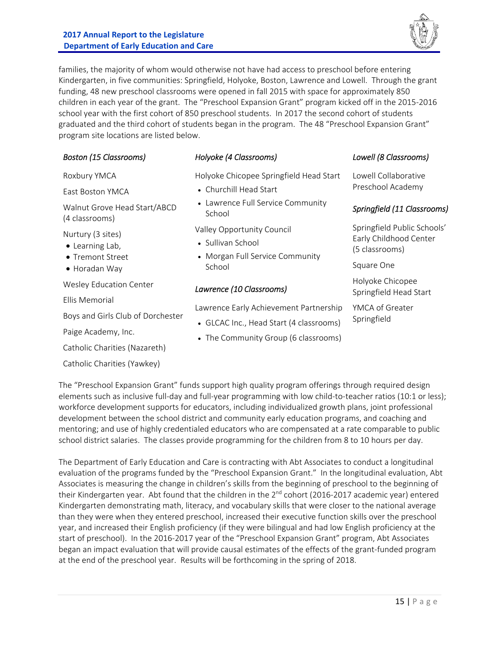#### **2017 Annual Report to the Legislature Department of Early Education and Care**



families, the majority of whom would otherwise not have had access to preschool before entering Kindergarten, in five communities: Springfield, Holyoke, Boston, Lawrence and Lowell. Through the grant funding, 48 new preschool classrooms were opened in fall 2015 with space for approximately 850 children in each year of the grant. The "Preschool Expansion Grant" program kicked off in the 2015‐2016 school year with the first cohort of 850 preschool students. In 2017 the second cohort of students graduated and the third cohort of students began in the program. The 48 "Preschool Expansion Grant" program site locations are listed below.

| <b>Boston (15 Classrooms)</b>                            | Holyoke (4 Classrooms)                                                             | Lowell (8 Classrooms)                                                   |
|----------------------------------------------------------|------------------------------------------------------------------------------------|-------------------------------------------------------------------------|
| Roxbury YMCA                                             | Holyoke Chicopee Springfield Head Start                                            | Lowell Collaborative                                                    |
| East Boston YMCA                                         | • Churchill Head Start                                                             | Preschool Academy                                                       |
| Walnut Grove Head Start/ABCD<br>(4 classrooms)           | • Lawrence Full Service Community<br>School                                        | Springfield (11 Classrooms)                                             |
| Nurtury (3 sites)<br>• Learning Lab,<br>• Tremont Street | Valley Opportunity Council<br>• Sullivan School<br>• Morgan Full Service Community | Springfield Public Schools'<br>Early Childhood Center<br>(5 classrooms) |
| • Horadan Way                                            | School                                                                             | Square One                                                              |
| <b>Wesley Education Center</b>                           | Lawrence (10 Classrooms)                                                           | Holyoke Chicopee<br>Springfield Head Start                              |
| Ellis Memorial                                           | Lawrence Early Achievement Partnership                                             | YMCA of Greater                                                         |
| Boys and Girls Club of Dorchester                        | • GLCAC Inc., Head Start (4 classrooms)                                            | Springfield                                                             |
| Paige Academy, Inc.                                      |                                                                                    |                                                                         |
| Catholic Charities (Nazareth)                            | • The Community Group (6 classrooms)                                               |                                                                         |
| Catholic Charities (Yawkey)                              |                                                                                    |                                                                         |

The "Preschool Expansion Grant" funds support high quality program offerings through required design elements such as inclusive full-day and full-year programming with low child-to-teacher ratios (10:1 or less); workforce development supports for educators, including individualized growth plans, joint professional development between the school district and community early education programs, and coaching and mentoring; and use of highly credentialed educators who are compensated at a rate comparable to public school district salaries. The classes provide programming for the children from 8 to 10 hours per day.

The Department of Early Education and Care is contracting with Abt Associates to conduct a longitudinal evaluation of the programs funded by the "Preschool Expansion Grant." In the longitudinal evaluation, Abt Associates is measuring the change in children's skills from the beginning of preschool to the beginning of their Kindergarten year. Abt found that the children in the 2<sup>nd</sup> cohort (2016-2017 academic year) entered Kindergarten demonstrating math, literacy, and vocabulary skills that were closer to the national average than they were when they entered preschool, increased their executive function skills over the preschool year, and increased their English proficiency (if they were bilingual and had low English proficiency at the start of preschool). In the 2016‐2017 year of the "Preschool Expansion Grant" program, Abt Associates began an impact evaluation that will provide causal estimates of the effects of the grant-funded program at the end of the preschool year. Results will be forthcoming in the spring of 2018.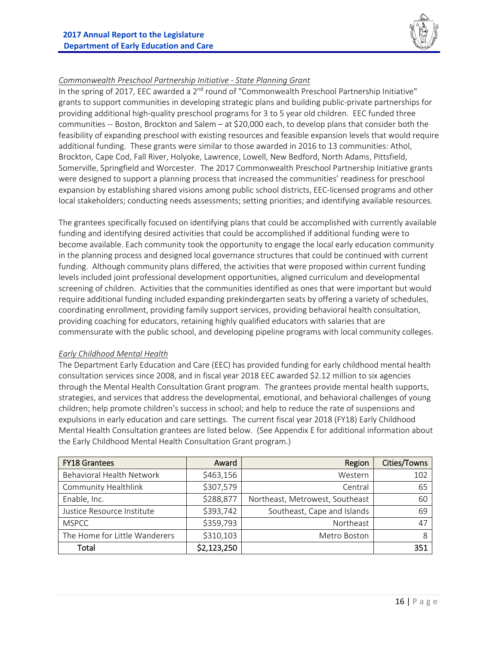

#### *Commonwealth Preschool Partnership Initiative ‐ State Planning Grant*

In the spring of 2017, EEC awarded a 2<sup>nd</sup> round of "Commonwealth Preschool Partnership Initiative" grants to support communities in developing strategic plans and building public‐private partnerships for providing additional high‐quality preschool programs for 3 to 5 year old children. EEC funded three communities ‐‐ Boston, Brockton and Salem – at \$20,000 each, to develop plans that consider both the feasibility of expanding preschool with existing resources and feasible expansion levels that would require additional funding. These grants were similar to those awarded in 2016 to 13 communities: Athol, Brockton, Cape Cod, Fall River, Holyoke, Lawrence, Lowell, New Bedford, North Adams, Pittsfield, Somerville, Springfield and Worcester. The 2017 Commonwealth Preschool Partnership Initiative grants were designed to support a planning process that increased the communities' readiness for preschool expansion by establishing shared visions among public school districts, EEC‐licensed programs and other local stakeholders; conducting needs assessments; setting priorities; and identifying available resources.

The grantees specifically focused on identifying plans that could be accomplished with currently available funding and identifying desired activities that could be accomplished if additional funding were to become available. Each community took the opportunity to engage the local early education community in the planning process and designed local governance structures that could be continued with current funding. Although community plans differed, the activities that were proposed within current funding levels included joint professional development opportunities, aligned curriculum and developmental screening of children. Activities that the communities identified as ones that were important but would require additional funding included expanding prekindergarten seats by offering a variety of schedules, coordinating enrollment, providing family support services, providing behavioral health consultation, providing coaching for educators, retaining highly qualified educators with salaries that are commensurate with the public school, and developing pipeline programs with local community colleges.

#### *Early Childhood Mental Health*

The Department Early Education and Care (EEC) has provided funding for early childhood mental health consultation services since 2008, and in fiscal year 2018 EEC awarded \$2.12 million to six agencies through the Mental Health Consultation Grant program. The grantees provide mental health supports, strategies, and services that address the developmental, emotional, and behavioral challenges of young children; help promote children's success in school; and help to reduce the rate of suspensions and expulsions in early education and care settings. The current fiscal year 2018 (FY18) Early Childhood Mental Health Consultation grantees are listed below. (See Appendix E for additional information about the Early Childhood Mental Health Consultation Grant program.)

| <b>FY18 Grantees</b>          | Award       | Region                          | Cities/Towns |
|-------------------------------|-------------|---------------------------------|--------------|
| Behavioral Health Network     | \$463,156   | Western                         | 102          |
| <b>Community Healthlink</b>   | \$307,579   | Central                         | 65           |
| Enable, Inc.                  | \$288,877   | Northeast, Metrowest, Southeast | 60           |
| Justice Resource Institute    | \$393,742   | Southeast, Cape and Islands     | 69           |
| <b>MSPCC</b>                  | \$359,793   | Northeast                       | 47           |
| The Home for Little Wanderers | \$310,103   | Metro Boston                    | 8            |
| Total                         | \$2,123,250 |                                 | 351          |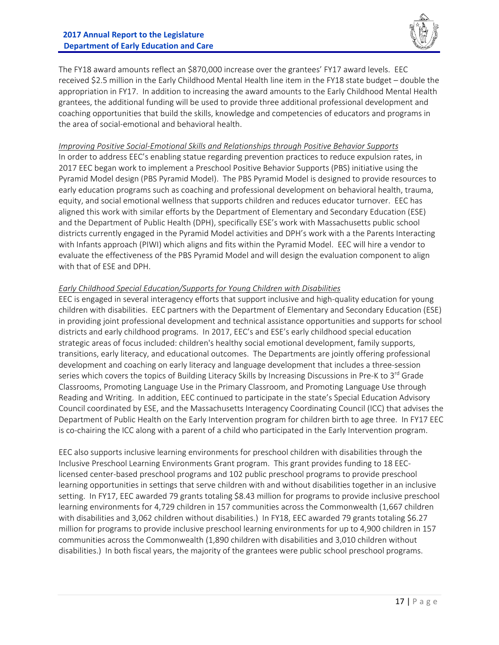

The FY18 award amounts reflect an \$870,000 increase over the grantees' FY17 award levels. EEC received \$2.5 million in the Early Childhood Mental Health line item in the FY18 state budget – double the appropriation in FY17. In addition to increasing the award amounts to the Early Childhood Mental Health grantees, the additional funding will be used to provide three additional professional development and coaching opportunities that build the skills, knowledge and competencies of educators and programs in the area of social‐emotional and behavioral health.

#### *Improving Positive Social‐Emotional Skills and Relationships through Positive Behavior Supports*

In order to address EEC's enabling statue regarding prevention practices to reduce expulsion rates, in 2017 EEC began work to implement a Preschool Positive Behavior Supports (PBS) initiative using the Pyramid Model design (PBS Pyramid Model). The PBS Pyramid Model is designed to provide resources to early education programs such as coaching and professional development on behavioral health, trauma, equity, and social emotional wellness that supports children and reduces educator turnover. EEC has aligned this work with similar efforts by the Department of Elementary and Secondary Education (ESE) and the Department of Public Health (DPH), specifically ESE's work with Massachusetts public school districts currently engaged in the Pyramid Model activities and DPH's work with a the Parents Interacting with Infants approach (PIWI) which aligns and fits within the Pyramid Model. EEC will hire a vendor to evaluate the effectiveness of the PBS Pyramid Model and will design the evaluation component to align with that of ESE and DPH.

#### *Early Childhood Special Education/Supports for Young Children with Disabilities*

EEC is engaged in several interagency efforts that support inclusive and high‐quality education for young children with disabilities. EEC partners with the Department of Elementary and Secondary Education (ESE) in providing joint professional development and technical assistance opportunities and supports for school districts and early childhood programs. In 2017, EEC's and ESE's early childhood special education strategic areas of focus included: children's healthy social emotional development, family supports, transitions, early literacy, and educational outcomes. The Departments are jointly offering professional development and coaching on early literacy and language development that includes a three‐session series which covers the topics of Building Literacy Skills by Increasing Discussions in Pre-K to 3<sup>rd</sup> Grade Classrooms, Promoting Language Use in the Primary Classroom, and Promoting Language Use through Reading and Writing. In addition, EEC continued to participate in the state's Special Education Advisory Council coordinated by ESE, and the Massachusetts Interagency Coordinating Council (ICC) that advises the Department of Public Health on the Early Intervention program for children birth to age three. In FY17 EEC is co-chairing the ICC along with a parent of a child who participated in the Early Intervention program.

EEC also supports inclusive learning environments for preschool children with disabilities through the Inclusive Preschool Learning Environments Grant program. This grant provides funding to 18 EEC‐ licensed center‐based preschool programs and 102 public preschool programs to provide preschool learning opportunities in settings that serve children with and without disabilities together in an inclusive setting. In FY17, EEC awarded 79 grants totaling \$8.43 million for programs to provide inclusive preschool learning environments for 4,729 children in 157 communities across the Commonwealth (1,667 children with disabilities and 3,062 children without disabilities.) In FY18, EEC awarded 79 grants totaling \$6.27 million for programs to provide inclusive preschool learning environments for up to 4,900 children in 157 communities across the Commonwealth (1,890 children with disabilities and 3,010 children without disabilities.) In both fiscal years, the majority of the grantees were public school preschool programs.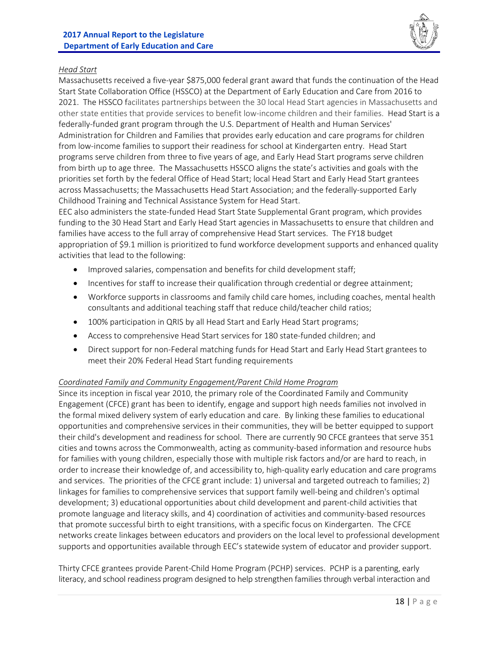

#### *Head Start*

Massachusetts received a five‐year \$875,000 federal grant award that funds the continuation of the Head Start State Collaboration Office (HSSCO) at the Department of Early Education and Care from 2016 to 2021. The HSSCO facilitates partnerships between the 30 local Head Start agencies in Massachusetts and other state entities that provide services to benefit low‐income children and their families. Head Start is a federally-funded grant program through the U.S. Department of Health and Human Services' Administration for Children and Families that provides early education and care programs for children from low-income families to support their readiness for school at Kindergarten entry. Head Start programs serve children from three to five years of age, and Early Head Start programs serve children from birth up to age three. The Massachusetts HSSCO aligns the state's activities and goals with the priorities set forth by the federal Office of Head Start; local Head Start and Early Head Start grantees across Massachusetts; the Massachusetts Head Start Association; and the federally‐supported Early Childhood Training and Technical Assistance System for Head Start.

EEC also administers the state‐funded Head Start State Supplemental Grant program, which provides funding to the 30 Head Start and Early Head Start agencies in Massachusetts to ensure that children and families have access to the full array of comprehensive Head Start services. The FY18 budget appropriation of \$9.1 million is prioritized to fund workforce development supports and enhanced quality activities that lead to the following:

- Improved salaries, compensation and benefits for child development staff;
- Incentives for staff to increase their qualification through credential or degree attainment;
- Workforce supports in classrooms and family child care homes, including coaches, mental health consultants and additional teaching staff that reduce child/teacher child ratios;
- 100% participation in QRIS by all Head Start and Early Head Start programs;
- Access to comprehensive Head Start services for 180 state-funded children; and
- Direct support for non-Federal matching funds for Head Start and Early Head Start grantees to meet their 20% Federal Head Start funding requirements

#### *Coordinated Family and Community Engagement/Parent Child Home Program*

Since its inception in fiscal year 2010, the primary role of the Coordinated Family and Community Engagement (CFCE) grant has been to identify, engage and support high needs families not involved in the formal mixed delivery system of early education and care. By linking these families to educational opportunities and comprehensive services in their communities, they will be better equipped to support their child's development and readiness for school. There are currently 90 CFCE grantees that serve 351 cities and towns across the Commonwealth, acting as community‐based information and resource hubs for families with young children, especially those with multiple risk factors and/or are hard to reach, in order to increase their knowledge of, and accessibility to, high‐quality early education and care programs and services. The priorities of the CFCE grant include: 1) universal and targeted outreach to families; 2) linkages for families to comprehensive services that support family well‐being and children's optimal development; 3) educational opportunities about child development and parent‐child activities that promote language and literacy skills, and 4) coordination of activities and community‐based resources that promote successful birth to eight transitions, with a specific focus on Kindergarten. The CFCE networks create linkages between educators and providers on the local level to professional development supports and opportunities available through EEC's statewide system of educator and provider support.

Thirty CFCE grantees provide Parent‐Child Home Program (PCHP) services. PCHP is a parenting, early literacy, and school readiness program designed to help strengthen families through verbal interaction and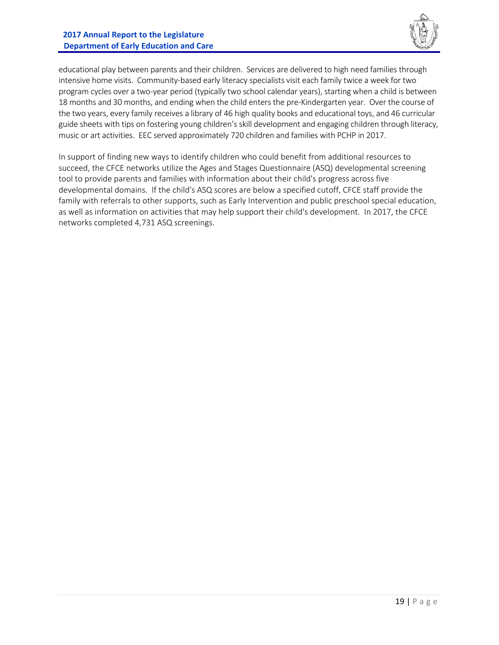

educational play between parents and their children. Services are delivered to high need families through intensive home visits. Community‐based early literacy specialists visit each family twice a week for two program cycles over a two‐year period (typically two school calendar years), starting when a child is between 18 months and 30 months, and ending when the child enters the pre‐Kindergarten year. Over the course of the two years, every family receives a library of 46 high quality books and educational toys, and 46 curricular guide sheets with tips on fostering young children's skill development and engaging children through literacy, music or art activities. EEC served approximately 720 children and families with PCHP in 2017.

In support of finding new ways to identify children who could benefit from additional resources to succeed, the CFCE networks utilize the Ages and Stages Questionnaire (ASQ) developmental screening tool to provide parents and families with information about their child's progress across five developmental domains. If the child's ASQ scores are below a specified cutoff, CFCE staff provide the family with referrals to other supports, such as Early Intervention and public preschool special education, as well as information on activities that may help support their child's development. In 2017, the CFCE networks completed 4,731 ASQ screenings.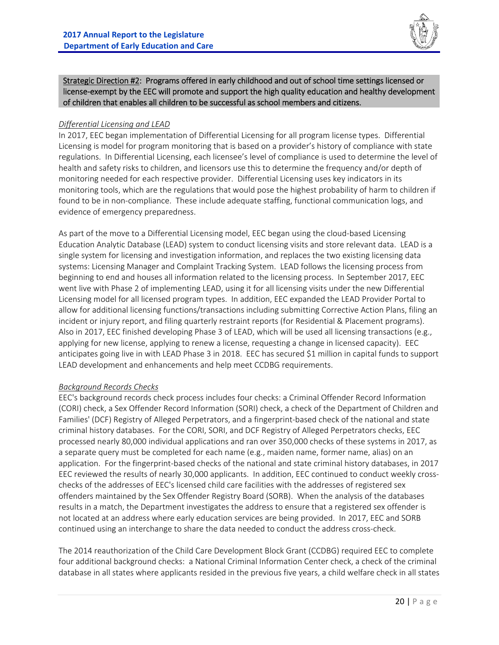

Strategic Direction #2: Programs offered in early childhood and out of school time settings licensed or license‐exempt by the EEC will promote and support the high quality education and healthy development of children that enables all children to be successful as school members and citizens.

#### *Differential Licensing and LEAD*

In 2017, EEC began implementation of Differential Licensing for all program license types. Differential Licensing is model for program monitoring that is based on a provider's history of compliance with state regulations. In Differential Licensing, each licensee's level of compliance is used to determine the level of health and safety risks to children, and licensors use this to determine the frequency and/or depth of monitoring needed for each respective provider. Differential Licensing uses key indicators in its monitoring tools, which are the regulations that would pose the highest probability of harm to children if found to be in non-compliance. These include adequate staffing, functional communication logs, and evidence of emergency preparedness.

As part of the move to a Differential Licensing model, EEC began using the cloud‐based Licensing Education Analytic Database (LEAD) system to conduct licensing visits and store relevant data. LEAD is a single system for licensing and investigation information, and replaces the two existing licensing data systems: Licensing Manager and Complaint Tracking System. LEAD follows the licensing process from beginning to end and houses all information related to the licensing process. In September 2017, EEC went live with Phase 2 of implementing LEAD, using it for all licensing visits under the new Differential Licensing model for all licensed program types. In addition, EEC expanded the LEAD Provider Portal to allow for additional licensing functions/transactions including submitting Corrective Action Plans, filing an incident or injury report, and filing quarterly restraint reports (for Residential & Placement programs). Also in 2017, EEC finished developing Phase 3 of LEAD, which will be used all licensing transactions (e.g., applying for new license, applying to renew a license, requesting a change in licensed capacity). EEC anticipates going live in with LEAD Phase 3 in 2018. EEC has secured \$1 million in capital funds to support LEAD development and enhancements and help meet CCDBG requirements.

#### *Background Records Checks*

EEC's background records check process includes four checks: a Criminal Offender Record Information (CORI) check, a Sex Offender Record Information (SORI) check, a check of the Department of Children and Families' (DCF) Registry of Alleged Perpetrators, and a fingerprint‐based check of the national and state criminal history databases. For the CORI, SORI, and DCF Registry of Alleged Perpetrators checks, EEC processed nearly 80,000 individual applications and ran over 350,000 checks of these systems in 2017, as a separate query must be completed for each name (e.g., maiden name, former name, alias) on an application. For the fingerprint‐based checks of the national and state criminal history databases, in 2017 EEC reviewed the results of nearly 30,000 applicants. In addition, EEC continued to conduct weekly crosschecks of the addresses of EEC's licensed child care facilities with the addresses of registered sex offenders maintained by the Sex Offender Registry Board (SORB). When the analysis of the databases results in a match, the Department investigates the address to ensure that a registered sex offender is not located at an address where early education services are being provided. In 2017, EEC and SORB continued using an interchange to share the data needed to conduct the address cross‐check.

The 2014 reauthorization of the Child Care Development Block Grant (CCDBG) required EEC to complete four additional background checks: a National Criminal Information Center check, a check of the criminal database in all states where applicants resided in the previous five years, a child welfare check in all states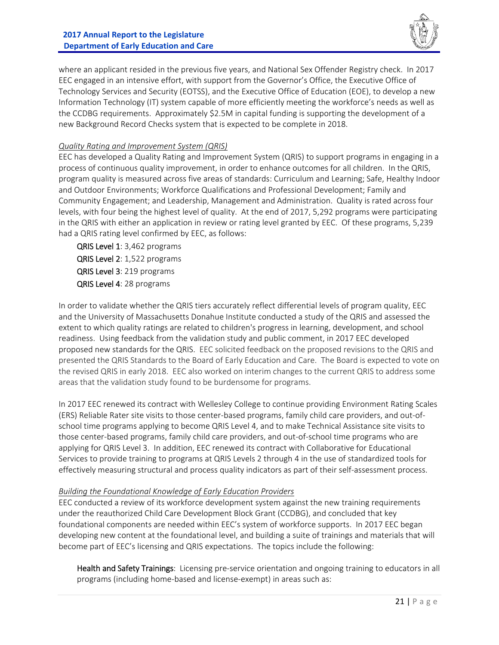

where an applicant resided in the previous five years, and National Sex Offender Registry check. In 2017 EEC engaged in an intensive effort, with support from the Governor's Office, the Executive Office of Technology Services and Security (EOTSS), and the Executive Office of Education (EOE), to develop a new Information Technology (IT) system capable of more efficiently meeting the workforce's needs as well as the CCDBG requirements. Approximately \$2.5M in capital funding is supporting the development of a new Background Record Checks system that is expected to be complete in 2018.

#### *Quality Rating and Improvement System (QRIS)*

EEC has developed a Quality Rating and Improvement System (QRIS) to support programs in engaging in a process of continuous quality improvement, in order to enhance outcomes for all children. In the QRIS, program quality is measured across five areas of standards: Curriculum and Learning; Safe, Healthy Indoor and Outdoor Environments; Workforce Qualifications and Professional Development; Family and Community Engagement; and Leadership, Management and Administration. Quality is rated across four levels, with four being the highest level of quality. At the end of 2017, 5,292 programs were participating in the QRIS with either an application in review or rating level granted by EEC. Of these programs, 5,239 had a QRIS rating level confirmed by EEC, as follows:

QRIS Level 1: 3,462 programs QRIS Level 2: 1,522 programs QRIS Level 3: 219 programs QRIS Level 4: 28 programs

In order to validate whether the QRIS tiers accurately reflect differential levels of program quality, EEC and the University of Massachusetts Donahue Institute conducted a study of the QRIS and assessed the extent to which quality ratings are related to children's progress in learning, development, and school readiness. Using feedback from the validation study and public comment, in 2017 EEC developed proposed new standards for the QRIS. EEC solicited feedback on the proposed revisions to the QRIS and presented the QRIS Standards to the Board of Early Education and Care. The Board is expected to vote on the revised QRIS in early 2018. EEC also worked on interim changes to the current QRIS to address some areas that the validation study found to be burdensome for programs.

In 2017 EEC renewed its contract with Wellesley College to continue providing Environment Rating Scales (ERS) Reliable Rater site visits to those center‐based programs, family child care providers, and out‐of‐ school time programs applying to become QRIS Level 4, and to make Technical Assistance site visits to those center‐based programs, family child care providers, and out‐of‐school time programs who are applying for QRIS Level 3. In addition, EEC renewed its contract with Collaborative for Educational Services to provide training to programs at QRIS Levels 2 through 4 in the use of standardized tools for effectively measuring structural and process quality indicators as part of their self‐assessment process.

#### *Building the Foundational Knowledge of Early Education Providers*

EEC conducted a review of its workforce development system against the new training requirements under the reauthorized Child Care Development Block Grant (CCDBG), and concluded that key foundational components are needed within EEC's system of workforce supports. In 2017 EEC began developing new content at the foundational level, and building a suite of trainings and materials that will become part of EEC's licensing and QRIS expectations. The topics include the following:

Health and Safety Trainings: Licensing pre-service orientation and ongoing training to educators in all programs (including home‐based and license‐exempt) in areas such as: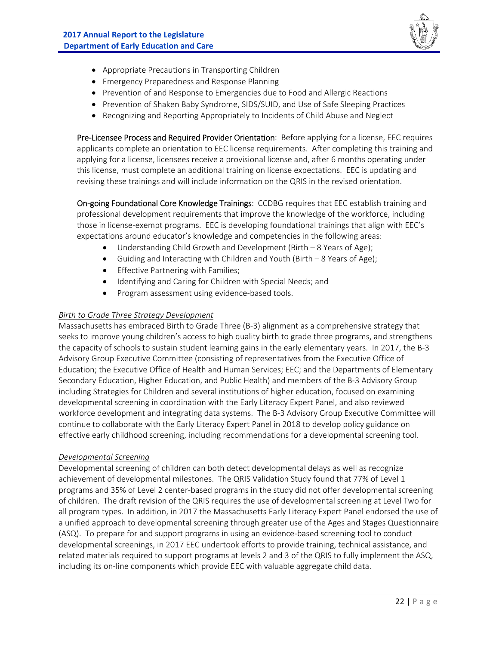

- Appropriate Precautions in Transporting Children
- Emergency Preparedness and Response Planning
- Prevention of and Response to Emergencies due to Food and Allergic Reactions
- Prevention of Shaken Baby Syndrome, SIDS/SUID, and Use of Safe Sleeping Practices
- Recognizing and Reporting Appropriately to Incidents of Child Abuse and Neglect

Pre-Licensee Process and Required Provider Orientation: Before applying for a license, EEC requires applicants complete an orientation to EEC license requirements. After completing this training and applying for a license, licensees receive a provisional license and, after 6 months operating under this license, must complete an additional training on license expectations. EEC is updating and revising these trainings and will include information on the QRIS in the revised orientation.

On-going Foundational Core Knowledge Trainings: CCDBG requires that EEC establish training and professional development requirements that improve the knowledge of the workforce, including those in license‐exempt programs. EEC is developing foundational trainings that align with EEC's expectations around educator's knowledge and competencies in the following areas:

- Understanding Child Growth and Development (Birth 8 Years of Age);
- Guiding and Interacting with Children and Youth (Birth 8 Years of Age);
- **•** Effective Partnering with Families;
- Identifying and Caring for Children with Special Needs; and
- Program assessment using evidence-based tools.

#### *Birth to Grade Three Strategy Development*

Massachusetts has embraced Birth to Grade Three (B‐3) alignment as a comprehensive strategy that seeks to improve young children's access to high quality birth to grade three programs, and strengthens the capacity of schools to sustain student learning gains in the early elementary years. In 2017, the B‐3 Advisory Group Executive Committee (consisting of representatives from the Executive Office of Education; the Executive Office of Health and Human Services; EEC; and the Departments of Elementary Secondary Education, Higher Education, and Public Health) and members of the B‐3 Advisory Group including Strategies for Children and several institutions of higher education, focused on examining developmental screening in coordination with the Early Literacy Expert Panel, and also reviewed workforce development and integrating data systems. The B-3 Advisory Group Executive Committee will continue to collaborate with the Early Literacy Expert Panel in 2018 to develop policy guidance on effective early childhood screening, including recommendations for a developmental screening tool.

#### *Developmental Screening*

Developmental screening of children can both detect developmental delays as well as recognize achievement of developmental milestones. The QRIS Validation Study found that 77% of Level 1 programs and 35% of Level 2 center‐based programs in the study did not offer developmental screening of children. The draft revision of the QRIS requires the use of developmental screening at Level Two for all program types. In addition, in 2017 the Massachusetts Early Literacy Expert Panel endorsed the use of a unified approach to developmental screening through greater use of the Ages and Stages Questionnaire (ASQ). To prepare for and support programs in using an evidence‐based screening tool to conduct developmental screenings, in 2017 EEC undertook efforts to provide training, technical assistance, and related materials required to support programs at levels 2 and 3 of the QRIS to fully implement the ASQ, including its on‐line components which provide EEC with valuable aggregate child data.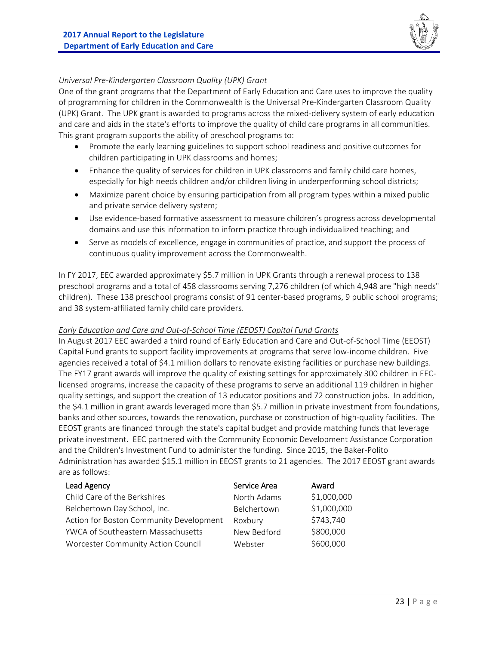

#### *Universal Pre‐Kindergarten Classroom Quality (UPK) Grant*

One of the grant programs that the Department of Early Education and Care uses to improve the quality of programming for children in the Commonwealth is the Universal Pre‐Kindergarten Classroom Quality (UPK) Grant. The UPK grant is awarded to programs across the mixed‐delivery system of early education and care and aids in the state's efforts to improve the quality of child care programs in all communities. This grant program supports the ability of preschool programs to:

- Promote the early learning guidelines to support school readiness and positive outcomes for children participating in UPK classrooms and homes;
- Enhance the quality of services for children in UPK classrooms and family child care homes, especially for high needs children and/or children living in underperforming school districts;
- Maximize parent choice by ensuring participation from all program types within a mixed public and private service delivery system;
- Use evidence‐based formative assessment to measure children's progress across developmental domains and use this information to inform practice through individualized teaching; and
- Serve as models of excellence, engage in communities of practice, and support the process of continuous quality improvement across the Commonwealth.

In FY 2017, EEC awarded approximately \$5.7 million in UPK Grants through a renewal process to 138 preschool programs and a total of 458 classrooms serving 7,276 children (of which 4,948 are "high needs" children). These 138 preschool programs consist of 91 center‐based programs, 9 public school programs; and 38 system‐affiliated family child care providers.

#### *Early Education and Care and Out‐of‐School Time (EEOST) Capital Fund Grants*

In August 2017 EEC awarded a third round of Early Education and Care and Out‐of‐School Time (EEOST) Capital Fund grants to support facility improvements at programs that serve low‐income children. Five agencies received a total of \$4.1 million dollars to renovate existing facilities or purchase new buildings. The FY17 grant awards will improve the quality of existing settings for approximately 300 children in EEC‐ licensed programs, increase the capacity of these programs to serve an additional 119 children in higher quality settings, and support the creation of 13 educator positions and 72 construction jobs. In addition, the \$4.1 million in grant awards leveraged more than \$5.7 million in private investment from foundations, banks and other sources, towards the renovation, purchase or construction of high‐quality facilities. The EEOST grants are financed through the state's capital budget and provide matching funds that leverage private investment. EEC partnered with the Community Economic Development Assistance Corporation and the Children's Investment Fund to administer the funding. Since 2015, the Baker-Polito Administration has awarded \$15.1 million in EEOST grants to 21 agencies. The 2017 EEOST grant awards are as follows:

| Lead Agency                             | Service Area | Award       |
|-----------------------------------------|--------------|-------------|
| Child Care of the Berkshires            | North Adams  | \$1,000,000 |
| Belchertown Day School, Inc.            | Belchertown  | \$1,000,000 |
| Action for Boston Community Development | Roxbury      | \$743,740   |
| YWCA of Southeastern Massachusetts      | New Bedford  | \$800,000   |
| Worcester Community Action Council      | Webster      | \$600,000   |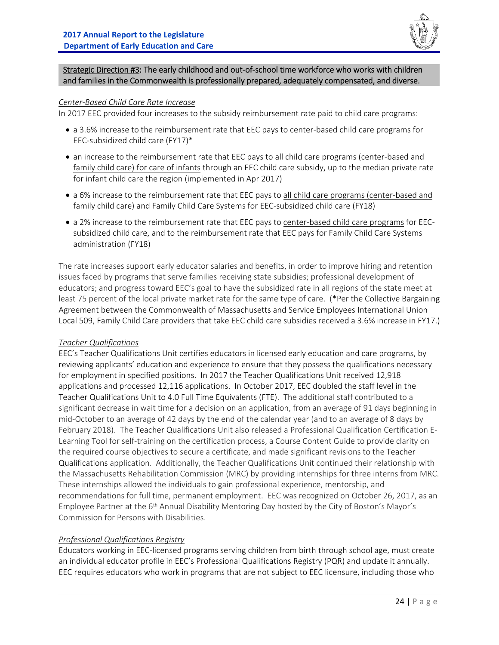

Strategic Direction #3: The early childhood and out‐of‐school time workforce who works with children and families in the Commonwealth is professionally prepared, adequately compensated, and diverse.

#### *Center‐Based Child Care Rate Increase*

In 2017 EEC provided four increases to the subsidy reimbursement rate paid to child care programs:

- a 3.6% increase to the reimbursement rate that EEC pays to center-based child care programs for EEC‐subsidized child care (FY17)\*
- an increase to the reimbursement rate that EEC pays to all child care programs (center-based and family child care) for care of infants through an EEC child care subsidy, up to the median private rate for infant child care the region (implemented in Apr 2017)
- a 6% increase to the reimbursement rate that EEC pays to all child care programs (center-based and family child care) and Family Child Care Systems for EEC-subsidized child care (FY18)
- a 2% increase to the reimbursement rate that EEC pays to center-based child care programs for EECsubsidized child care, and to the reimbursement rate that EEC pays for Family Child Care Systems administration (FY18)

The rate increases support early educator salaries and benefits, in order to improve hiring and retention issues faced by programs that serve families receiving state subsidies; professional development of educators; and progress toward EEC's goal to have the subsidized rate in all regions of the state meet at least 75 percent of the local private market rate for the same type of care. (\*Per the Collective Bargaining Agreement between the Commonwealth of Massachusetts and Service Employees International Union Local 509, Family Child Care providers that take EEC child care subsidies received a 3.6% increase in FY17.)

#### *Teacher Qualifications*

EEC's Teacher Qualifications Unit certifies educators in licensed early education and care programs, by reviewing applicants' education and experience to ensure that they possess the qualifications necessary for employment in specified positions. In 2017 the Teacher Qualifications Unit received 12,918 applications and processed 12,116 applications. In October 2017, EEC doubled the staff level in the Teacher Qualifications Unit to 4.0 Full Time Equivalents (FTE). The additional staff contributed to a significant decrease in wait time for a decision on an application, from an average of 91 days beginning in mid‐October to an average of 42 days by the end of the calendar year (and to an average of 8 days by February 2018). The Teacher Qualifications Unit also released a Professional Qualification Certification E‐ Learning Tool for self-training on the certification process, a Course Content Guide to provide clarity on the required course objectives to secure a certificate, and made significant revisions to the Teacher Qualifications application. Additionally, the Teacher Qualifications Unit continued their relationship with the Massachusetts Rehabilitation Commission (MRC) by providing internships for three interns from MRC. These internships allowed the individuals to gain professional experience, mentorship, and recommendations for full time, permanent employment. EEC was recognized on October 26, 2017, as an Employee Partner at the 6<sup>th</sup> Annual Disability Mentoring Day hosted by the City of Boston's Mayor's Commission for Persons with Disabilities.

#### *Professional Qualifications Registry*

Educators working in EEC‐licensed programs serving children from birth through school age, must create an individual educator profile in EEC's Professional Qualifications Registry (PQR) and update it annually. EEC requires educators who work in programs that are not subject to EEC licensure, including those who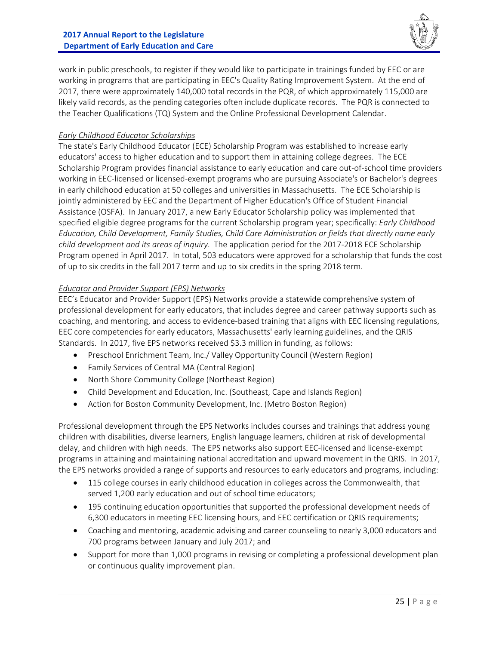

work in public preschools, to register if they would like to participate in trainings funded by EEC or are working in programs that are participating in EEC's Quality Rating Improvement System. At the end of 2017, there were approximately 140,000 total records in the PQR, of which approximately 115,000 are likely valid records, as the pending categories often include duplicate records. The PQR is connected to the Teacher Qualifications (TQ) System and the Online Professional Development Calendar.

#### *Early Childhood Educator Scholarships*

The state's Early Childhood Educator (ECE) Scholarship Program was established to increase early educators' access to higher education and to support them in attaining college degrees. The ECE Scholarship Program provides financial assistance to early education and care out‐of‐school time providers working in EEC‐licensed or licensed‐exempt programs who are pursuing Associate's or Bachelor's degrees in early childhood education at 50 colleges and universities in Massachusetts. The ECE Scholarship is jointly administered by EEC and the Department of Higher Education's Office of Student Financial Assistance (OSFA). In January 2017, a new Early Educator Scholarship policy was implemented that specified eligible degree programs for the current Scholarship program year; specifically: *Early Childhood Education, Child Development, Family Studies, Child Care Administration or fields that directly name early child development and its areas of inquiry*. The application period for the 2017‐2018 ECE Scholarship Program opened in April 2017. In total, 503 educators were approved for a scholarship that funds the cost of up to six credits in the fall 2017 term and up to six credits in the spring 2018 term.

#### *Educator and Provider Support (EPS) Networks*

EEC's Educator and Provider Support (EPS) Networks provide a statewide comprehensive system of professional development for early educators, that includes degree and career pathway supports such as coaching, and mentoring, and access to evidence-based training that aligns with EEC licensing regulations, EEC core competencies for early educators, Massachusetts' early learning guidelines, and the QRIS Standards. In 2017, five EPS networks received \$3.3 million in funding, as follows:

- Preschool Enrichment Team, Inc./ Valley Opportunity Council (Western Region)
- Family Services of Central MA (Central Region)
- North Shore Community College (Northeast Region)
- Child Development and Education, Inc. (Southeast, Cape and Islands Region)
- Action for Boston Community Development, Inc. (Metro Boston Region)

Professional development through the EPS Networks includes courses and trainings that address young children with disabilities, diverse learners, English language learners, children at risk of developmental delay, and children with high needs. The EPS networks also support EEC‐licensed and license‐exempt programs in attaining and maintaining national accreditation and upward movement in the QRIS. In 2017, the EPS networks provided a range of supports and resources to early educators and programs, including:

- 115 college courses in early childhood education in colleges across the Commonwealth, that served 1,200 early education and out of school time educators;
- 195 continuing education opportunities that supported the professional development needs of 6,300 educators in meeting EEC licensing hours, and EEC certification or QRIS requirements;
- Coaching and mentoring, academic advising and career counseling to nearly 3,000 educators and 700 programs between January and July 2017; and
- Support for more than 1,000 programs in revising or completing a professional development plan or continuous quality improvement plan.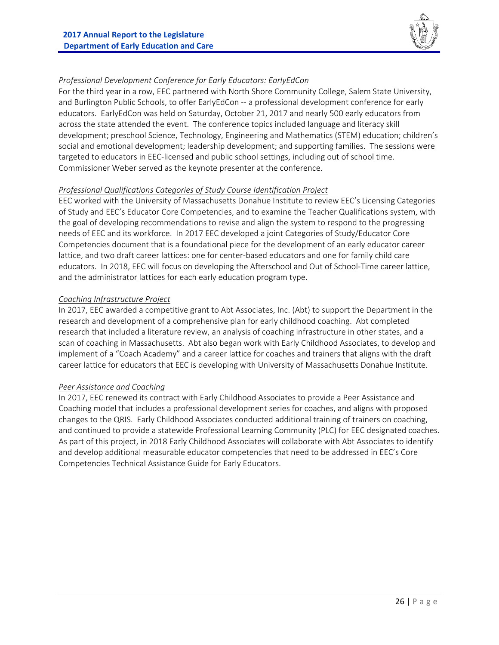

#### *Professional Development Conference for Early Educators: EarlyEdCon*

For the third year in a row, EEC partnered with North Shore Community College, Salem State University, and Burlington Public Schools, to offer EarlyEdCon -- a professional development conference for early educators. EarlyEdCon was held on Saturday, October 21, 2017 and nearly 500 early educators from across the state attended the event. The conference topics included language and literacy skill development; preschool Science, Technology, Engineering and Mathematics (STEM) education; children's social and emotional development; leadership development; and supporting families. The sessions were targeted to educators in EEC‐licensed and public school settings, including out of school time. Commissioner Weber served as the keynote presenter at the conference.

#### *Professional Qualifications Categories of Study Course Identification Project*

EEC worked with the University of Massachusetts Donahue Institute to review EEC's Licensing Categories of Study and EEC's Educator Core Competencies, and to examine the Teacher Qualifications system, with the goal of developing recommendations to revise and align the system to respond to the progressing needs of EEC and its workforce. In 2017 EEC developed a joint Categories of Study/Educator Core Competencies document that is a foundational piece for the development of an early educator career lattice, and two draft career lattices: one for center-based educators and one for family child care educators. In 2018, EEC will focus on developing the Afterschool and Out of School‐Time career lattice, and the administrator lattices for each early education program type.

#### *Coaching Infrastructure Project*

In 2017, EEC awarded a competitive grant to Abt Associates, Inc. (Abt) to support the Department in the research and development of a comprehensive plan for early childhood coaching. Abt completed research that included a literature review, an analysis of coaching infrastructure in other states, and a scan of coaching in Massachusetts. Abt also began work with Early Childhood Associates, to develop and implement of a "Coach Academy" and a career lattice for coaches and trainers that aligns with the draft career lattice for educators that EEC is developing with University of Massachusetts Donahue Institute.

#### *Peer Assistance and Coaching*

In 2017, EEC renewed its contract with Early Childhood Associates to provide a Peer Assistance and Coaching model that includes a professional development series for coaches, and aligns with proposed changes to the QRIS. Early Childhood Associates conducted additional training of trainers on coaching, and continued to provide a statewide Professional Learning Community (PLC) for EEC designated coaches. As part of this project, in 2018 Early Childhood Associates will collaborate with Abt Associates to identify and develop additional measurable educator competencies that need to be addressed in EEC's Core Competencies Technical Assistance Guide for Early Educators.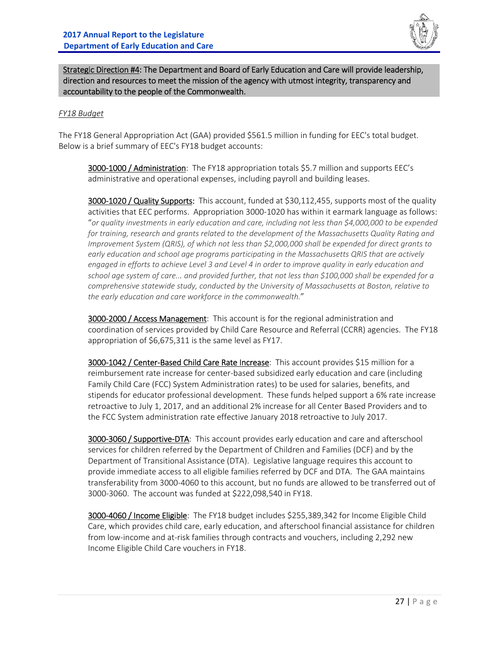

Strategic Direction #4: The Department and Board of Early Education and Care will provide leadership, direction and resources to meet the mission of the agency with utmost integrity, transparency and accountability to the people of the Commonwealth.

#### *FY18 Budget*

The FY18 General Appropriation Act (GAA) provided \$561.5 million in funding for EEC's total budget. Below is a brief summary of EEC's FY18 budget accounts:

3000-1000 / Administration: The FY18 appropriation totals \$5.7 million and supports EEC's administrative and operational expenses, including payroll and building leases.

3000-1020 / Quality Supports: This account, funded at \$30,112,455, supports most of the quality activities that EEC performs. Appropriation 3000‐1020 has within it earmark language as follows: "*or quality investments in early education and care, including not less than \$4,000,000 to be expended for training, research and grants related to the development of the Massachusetts Quality Rating and Improvement System (QRIS), of which not less than \$2,000,000 shall be expended for direct grants to early education and school age programs participating in the Massachusetts QRIS that are actively engaged in efforts to achieve Level 3 and Level 4 in order to improve quality in early education and school age system of care... and provided further, that not less than \$100,000 shall be expended for a comprehensive statewide study, conducted by the University of Massachusetts at Boston, relative to the early education and care workforce in the commonwealth.*"

3000-2000 / Access Management: This account is for the regional administration and coordination of services provided by Child Care Resource and Referral (CCRR) agencies. The FY18 appropriation of \$6,675,311 is the same level as FY17.

3000-1042 / Center-Based Child Care Rate Increase: This account provides \$15 million for a reimbursement rate increase for center-based subsidized early education and care (including Family Child Care (FCC) System Administration rates) to be used for salaries, benefits, and stipends for educator professional development. These funds helped support a 6% rate increase retroactive to July 1, 2017, and an additional 2% increase for all Center Based Providers and to the FCC System administration rate effective January 2018 retroactive to July 2017.

3000-3060 / Supportive-DTA: This account provides early education and care and afterschool services for children referred by the Department of Children and Families (DCF) and by the Department of Transitional Assistance (DTA). Legislative language requires this account to provide immediate access to all eligible families referred by DCF and DTA. The GAA maintains transferability from 3000‐4060 to this account, but no funds are allowed to be transferred out of 3000‐3060. The account was funded at \$222,098,540 in FY18.

3000-4060 / Income Eligible: The FY18 budget includes \$255,389,342 for Income Eligible Child Care, which provides child care, early education, and afterschool financial assistance for children from low-income and at-risk families through contracts and vouchers, including 2,292 new Income Eligible Child Care vouchers in FY18.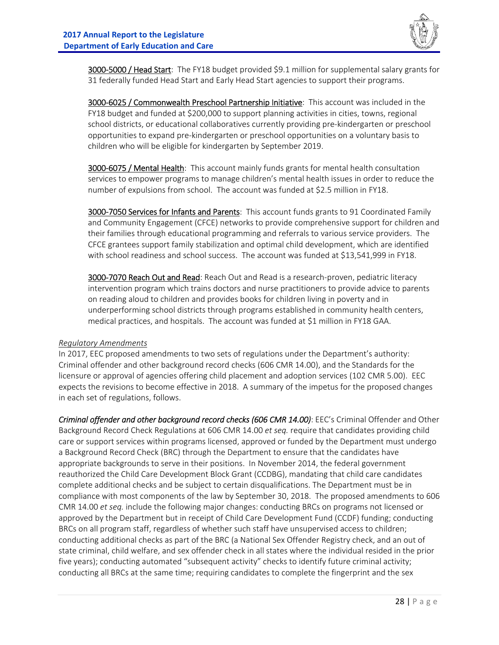

3000-5000 / Head Start: The FY18 budget provided \$9.1 million for supplemental salary grants for 31 federally funded Head Start and Early Head Start agencies to support their programs.

3000-6025 / Commonwealth Preschool Partnership Initiative: This account was included in the FY18 budget and funded at \$200,000 to support planning activities in cities, towns, regional school districts, or educational collaboratives currently providing pre‐kindergarten or preschool opportunities to expand pre‐kindergarten or preschool opportunities on a voluntary basis to children who will be eligible for kindergarten by September 2019.

3000-6075 / Mental Health: This account mainly funds grants for mental health consultation services to empower programs to manage children's mental health issues in order to reduce the number of expulsions from school. The account was funded at \$2.5 million in FY18.

3000-7050 Services for Infants and Parents: This account funds grants to 91 Coordinated Family and Community Engagement (CFCE) networks to provide comprehensive support for children and their families through educational programming and referrals to various service providers. The CFCE grantees support family stabilization and optimal child development, which are identified with school readiness and school success. The account was funded at \$13,541,999 in FY18.

3000-7070 Reach Out and Read: Reach Out and Read is a research-proven, pediatric literacy intervention program which trains doctors and nurse practitioners to provide advice to parents on reading aloud to children and provides books for children living in poverty and in underperforming school districts through programs established in community health centers, medical practices, and hospitals. The account was funded at \$1 million in FY18 GAA.

#### *Regulatory Amendments*

In 2017, EEC proposed amendments to two sets of regulations under the Department's authority: Criminal offender and other background record checks (606 CMR 14.00), and the Standards for the licensure or approval of agencies offering child placement and adoption services (102 CMR 5.00). EEC expects the revisions to become effective in 2018. A summary of the impetus for the proposed changes in each set of regulations, follows.

*Criminal offender and other background record checks (606 CMR 14.00)*: EEC's Criminal Offender and Other Background Record Check Regulations at 606 CMR 14.00 *et seq.* require that candidates providing child care or support services within programs licensed, approved or funded by the Department must undergo a Background Record Check (BRC) through the Department to ensure that the candidates have appropriate backgrounds to serve in their positions. In November 2014, the federal government reauthorized the Child Care Development Block Grant (CCDBG), mandating that child care candidates complete additional checks and be subject to certain disqualifications. The Department must be in compliance with most components of the law by September 30, 2018. The proposed amendments to 606 CMR 14.00 *et seq.* include the following major changes: conducting BRCs on programs not licensed or approved by the Department but in receipt of Child Care Development Fund (CCDF) funding; conducting BRCs on all program staff, regardless of whether such staff have unsupervised access to children; conducting additional checks as part of the BRC (a National Sex Offender Registry check, and an out of state criminal, child welfare, and sex offender check in all states where the individual resided in the prior five years); conducting automated "subsequent activity" checks to identify future criminal activity; conducting all BRCs at the same time; requiring candidates to complete the fingerprint and the sex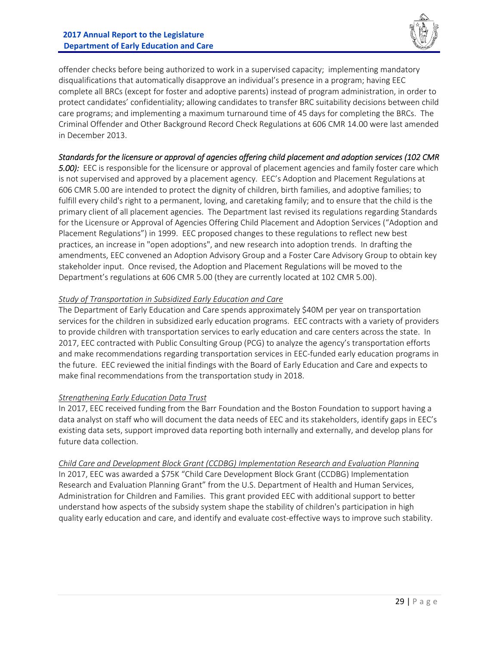

offender checks before being authorized to work in a supervised capacity; implementing mandatory disqualifications that automatically disapprove an individual's presence in a program; having EEC complete all BRCs (except for foster and adoptive parents) instead of program administration, in order to protect candidates' confidentiality; allowing candidates to transfer BRC suitability decisions between child care programs; and implementing a maximum turnaround time of 45 days for completing the BRCs. The Criminal Offender and Other Background Record Check Regulations at 606 CMR 14.00 were last amended in December 2013.

#### *Standards for the licensure or approval of agencies offering child placement and adoption services (102 CMR*

*5.00):* EEC is responsible for the licensure or approval of placement agencies and family foster care which is not supervised and approved by a placement agency. EEC's Adoption and Placement Regulations at 606 CMR 5.00 are intended to protect the dignity of children, birth families, and adoptive families; to fulfill every child's right to a permanent, loving, and caretaking family; and to ensure that the child is the primary client of all placement agencies. The Department last revised its regulations regarding Standards for the Licensure or Approval of Agencies Offering Child Placement and Adoption Services ("Adoption and Placement Regulations") in 1999. EEC proposed changes to these regulations to reflect new best practices, an increase in "open adoptions", and new research into adoption trends. In drafting the amendments, EEC convened an Adoption Advisory Group and a Foster Care Advisory Group to obtain key stakeholder input. Once revised, the Adoption and Placement Regulations will be moved to the Department's regulations at 606 CMR 5.00 (they are currently located at 102 CMR 5.00).

#### *Study of Transportation in Subsidized Early Education and Care*

The Department of Early Education and Care spends approximately \$40M per year on transportation services for the children in subsidized early education programs. EEC contracts with a variety of providers to provide children with transportation services to early education and care centers across the state. In 2017, EEC contracted with Public Consulting Group (PCG) to analyze the agency's transportation efforts and make recommendations regarding transportation services in EEC‐funded early education programs in the future. EEC reviewed the initial findings with the Board of Early Education and Care and expects to make final recommendations from the transportation study in 2018.

#### *Strengthening Early Education Data Trust*

In 2017, EEC received funding from the Barr Foundation and the Boston Foundation to support having a data analyst on staff who will document the data needs of EEC and its stakeholders, identify gaps in EEC's existing data sets, support improved data reporting both internally and externally, and develop plans for future data collection.

*Child Care and Development Block Grant (CCDBG) Implementation Research and Evaluation Planning*  In 2017, EEC was awarded a \$75K "Child Care Development Block Grant (CCDBG) Implementation Research and Evaluation Planning Grant" from the U.S. Department of Health and Human Services, Administration for Children and Families. This grant provided EEC with additional support to better understand how aspects of the subsidy system shape the stability of children's participation in high quality early education and care, and identify and evaluate cost‐effective ways to improve such stability.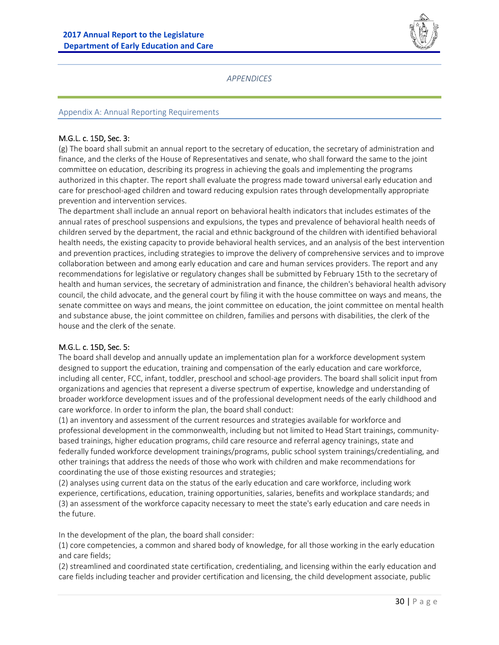

*APPENDICES* 

#### Appendix A: Annual Reporting Requirements

#### M.G.L. c. 15D, Sec. 3:

(g) The board shall submit an annual report to the secretary of education, the secretary of administration and finance, and the clerks of the House of Representatives and senate, who shall forward the same to the joint committee on education, describing its progress in achieving the goals and implementing the programs authorized in this chapter. The report shall evaluate the progress made toward universal early education and care for preschool-aged children and toward reducing expulsion rates through developmentally appropriate prevention and intervention services.

The department shall include an annual report on behavioral health indicators that includes estimates of the annual rates of preschool suspensions and expulsions, the types and prevalence of behavioral health needs of children served by the department, the racial and ethnic background of the children with identified behavioral health needs, the existing capacity to provide behavioral health services, and an analysis of the best intervention and prevention practices, including strategies to improve the delivery of comprehensive services and to improve collaboration between and among early education and care and human services providers. The report and any recommendations for legislative or regulatory changes shall be submitted by February 15th to the secretary of health and human services, the secretary of administration and finance, the children's behavioral health advisory council, the child advocate, and the general court by filing it with the house committee on ways and means, the senate committee on ways and means, the joint committee on education, the joint committee on mental health and substance abuse, the joint committee on children, families and persons with disabilities, the clerk of the house and the clerk of the senate.

#### M.G.L. c. 15D, Sec. 5:

The board shall develop and annually update an implementation plan for a workforce development system designed to support the education, training and compensation of the early education and care workforce, including all center, FCC, infant, toddler, preschool and school‐age providers. The board shall solicit input from organizations and agencies that represent a diverse spectrum of expertise, knowledge and understanding of broader workforce development issues and of the professional development needs of the early childhood and care workforce. In order to inform the plan, the board shall conduct:

(1) an inventory and assessment of the current resources and strategies available for workforce and professional development in the commonwealth, including but not limited to Head Start trainings, communitybased trainings, higher education programs, child care resource and referral agency trainings, state and federally funded workforce development trainings/programs, public school system trainings/credentialing, and other trainings that address the needs of those who work with children and make recommendations for coordinating the use of those existing resources and strategies;

(2) analyses using current data on the status of the early education and care workforce, including work experience, certifications, education, training opportunities, salaries, benefits and workplace standards; and (3) an assessment of the workforce capacity necessary to meet the state's early education and care needs in the future.

In the development of the plan, the board shall consider:

(1) core competencies, a common and shared body of knowledge, for all those working in the early education and care fields;

(2) streamlined and coordinated state certification, credentialing, and licensing within the early education and care fields including teacher and provider certification and licensing, the child development associate, public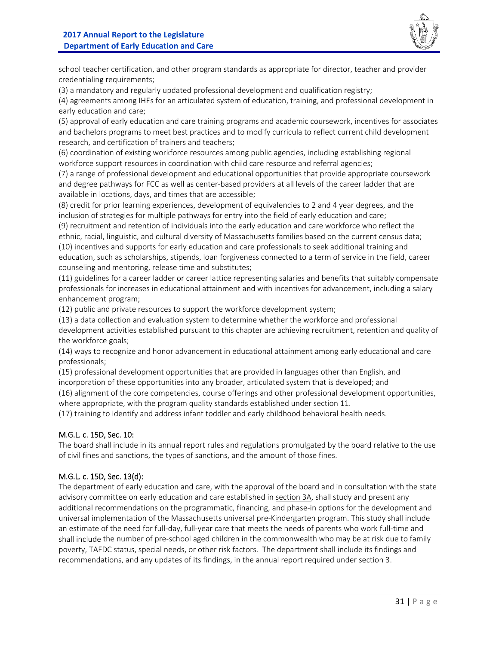

school teacher certification, and other program standards as appropriate for director, teacher and provider credentialing requirements;

(3) a mandatory and regularly updated professional development and qualification registry;

(4) agreements among IHEs for an articulated system of education, training, and professional development in early education and care;

(5) approval of early education and care training programs and academic coursework, incentives for associates and bachelors programs to meet best practices and to modify curricula to reflect current child development research, and certification of trainers and teachers;

(6) coordination of existing workforce resources among public agencies, including establishing regional workforce support resources in coordination with child care resource and referral agencies;

(7) a range of professional development and educational opportunities that provide appropriate coursework and degree pathways for FCC as well as center-based providers at all levels of the career ladder that are available in locations, days, and times that are accessible;

(8) credit for prior learning experiences, development of equivalencies to 2 and 4 year degrees, and the inclusion of strategies for multiple pathways for entry into the field of early education and care;

(9) recruitment and retention of individuals into the early education and care workforce who reflect the ethnic, racial, linguistic, and cultural diversity of Massachusetts families based on the current census data; (10) incentives and supports for early education and care professionals to seek additional training and education, such as scholarships, stipends, loan forgiveness connected to a term of service in the field, career counseling and mentoring, release time and substitutes;

(11) guidelines for a career ladder or career lattice representing salaries and benefits that suitably compensate professionals for increases in educational attainment and with incentives for advancement, including a salary enhancement program;

(12) public and private resources to support the workforce development system;

(13) a data collection and evaluation system to determine whether the workforce and professional development activities established pursuant to this chapter are achieving recruitment, retention and quality of the workforce goals;

(14) ways to recognize and honor advancement in educational attainment among early educational and care professionals;

(15) professional development opportunities that are provided in languages other than English, and incorporation of these opportunities into any broader, articulated system that is developed; and

(16) alignment of the core competencies, course offerings and other professional development opportunities, where appropriate, with the program quality standards established under section 11.

(17) training to identify and address infant toddler and early childhood behavioral health needs.

#### M.G.L. c. 15D, Sec. 10:

The board shall include in its annual report rules and regulations promulgated by the board relative to the use of civil fines and sanctions, the types of sanctions, and the amount of those fines.

#### M.G.L. c. 15D, Sec. 13(d):

The department of early education and care, with the approval of the board and in consultation with the state advisory committee on early education and care established in section 3A, shall study and present any additional recommendations on the programmatic, financing, and phase-in options for the development and universal implementation of the Massachusetts universal pre‐Kindergarten program. This study shall include an estimate of the need for full-day, full-year care that meets the needs of parents who work full-time and shall include the number of pre‐school aged children in the commonwealth who may be at risk due to family poverty, TAFDC status, special needs, or other risk factors. The department shall include its findings and recommendations, and any updates of its findings, in the annual report required under section 3.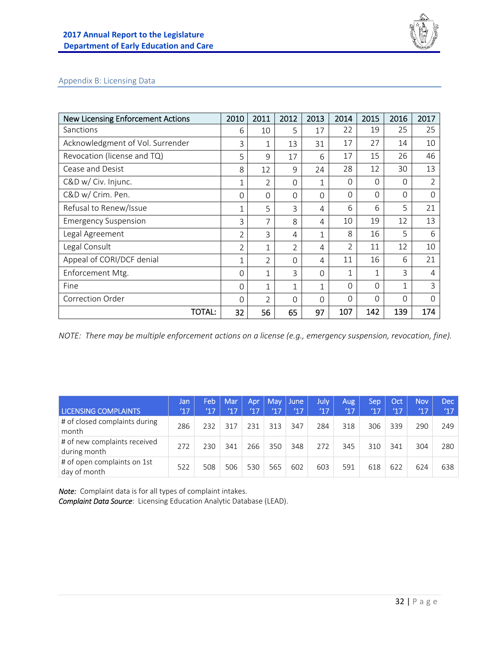

#### Appendix B: Licensing Data

| <b>New Licensing Enforcement Actions</b> | 2010           | 2011           | 2012           | 2013         | 2014           | 2015     | 2016         | 2017           |
|------------------------------------------|----------------|----------------|----------------|--------------|----------------|----------|--------------|----------------|
| Sanctions                                | 6              | 10             | 5              | 17           | 22             | 19       | 25           | 25             |
| Acknowledgment of Vol. Surrender         | 3              | 1              | 13             | 31           | 17             | 27       | 14           | 10             |
| Revocation (license and TQ)              | 5              | $\mathsf{Q}$   | 17             | 6            | 17             | 15       | 26           | 46             |
| Cease and Desist                         | 8              | 12             | 9              | 24           | 28             | 12       | 30           | 13             |
| C&D w/ Civ. Injunc.                      | 1              | 2              | $\Omega$       | $\mathbf{1}$ | 0              | $\Omega$ | 0            | 2              |
| C&D w/ Crim. Pen.                        | $\Omega$       | $\Omega$       | 0              | $\Omega$     | $\Omega$       | 0        | $\Omega$     | 0              |
| Refusal to Renew/Issue                   | $\mathbf 1$    | 5              | 3              | 4            | 6              | 6        | 5            | 21             |
| <b>Emergency Suspension</b>              | 3              | 7              | 8              | 4            | 10             | 19       | 12           | 13             |
| Legal Agreement                          | $\overline{2}$ | 3              | 4              | 1            | 8              | 16       | 5            | 6              |
| Legal Consult                            | $\overline{2}$ | $\mathbf{1}$   | $\overline{2}$ | 4            | $\overline{2}$ | 11       | 12           | 10             |
| Appeal of CORI/DCF denial                | $\mathbf 1$    | $\overline{2}$ | $\Omega$       | 4            | 11             | 16       | 6            | 21             |
| Enforcement Mtg.                         | $\Omega$       | 1              | 3              | $\Omega$     | 1              | 1        | 3            | $\overline{4}$ |
| Fine                                     | $\Omega$       | 1              | 1              | 1            | $\Omega$       | 0        | $\mathbf{1}$ | 3              |
| Correction Order                         | $\Omega$       | $\overline{2}$ | 0              | $\Omega$     | $\Omega$       | 0        | $\Omega$     | 0              |
| TOTAL:                                   | 32             | 56             | 65             | 97           | 107            | 142      | 139          | 174            |

*NOTE: There may be multiple enforcement actions on a license (e.g., emergency suspension, revocation, fine).* 

|                                              | IJan, | Feb | Mar           | Apr | <b>May</b> | <b>June</b> | July, | Aug           | Sep | Oct           | <b>Nov</b> | Dec        |
|----------------------------------------------|-------|-----|---------------|-----|------------|-------------|-------|---------------|-----|---------------|------------|------------|
| <b>LICENSING COMPLAINTS</b>                  | 17    | 17  | $^{\prime}17$ | '17 | 17         | '17         | (17)  | $^{\prime}17$ | 17  | $^{\prime}17$ | 17         | <b>Y17</b> |
| # of closed complaints during<br>month       | 286   | 232 | 317           | 231 | 313        | 347         | 284   | 318           | 306 | 339           | 290        | 249        |
| # of new complaints received<br>during month | 272   | 230 | 341           | 266 | 350        | 348         | 272   | 345           | 310 | 341           | 304        | 280        |
| # of open complaints on 1st<br>day of month  | 522   | 508 | 506           | 530 | 565        | 602         | 603   | 591           | 618 | 622           | 624        | 638        |

*Note:* Complaint data is for all types of complaint intakes.

*Complaint Data Source*: Licensing Education Analytic Database (LEAD).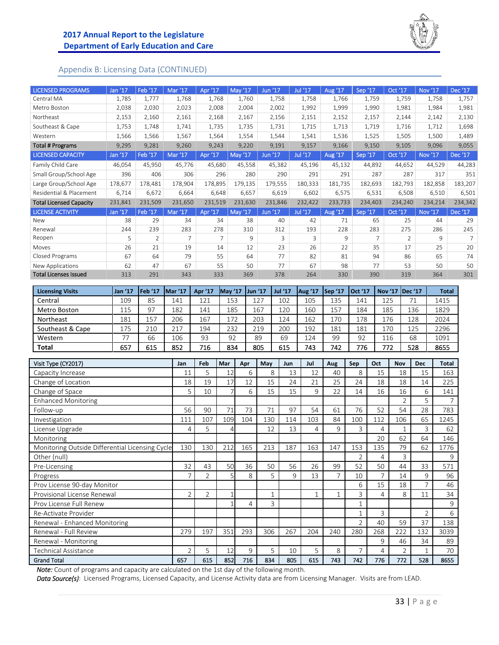

#### Appendix B: Licensing Data (CONTINUED)

| <b>LICENSED PROGRAMS</b>       | Jan '17 | Feb '17            | Mar '17        | Apr '17        | May '17              | Jun '17 | Jul '17                  | Aug '17      | Sep '17        | Oct '17                  | Nov '17 | Dec '17        |
|--------------------------------|---------|--------------------|----------------|----------------|----------------------|---------|--------------------------|--------------|----------------|--------------------------|---------|----------------|
| Central MA                     | 1,785   | 1,777              | 1,768          | 1,768          | 1,760                | 1,758   | 1,758                    | 1,766        | 1,759          | 1,759                    | 1,758   | 1,757          |
| Metro Boston                   | 2,038   | 2,030              | 2,023          | 2,008          | 2,004                | 2,002   | 1,992                    | 1,999        | 1,990          | 1,981                    | 1,984   | 1,981          |
| Northeast                      | 2,153   | 2,160              | 2,161          | 2,168          | 2,167                | 2,156   | 2,151                    | 2,152        | 2,157          | 2,144                    | 2,142   | 2,130          |
| Southeast & Cape               | 1,753   | 1,748              | 1,741          | 1,735          | 1,735                | 1,731   | 1,715                    | 1,713        | 1,719          | 1,716                    | 1,712   | 1,698          |
| Western                        | 1,566   | 1,566              | 1,567          | 1,564          | 1,554                | 1,544   | 1,541                    | 1,536        | 1,525          | 1,505                    | 1,500   | 1,489          |
| <b>Total # Programs</b>        | 9,295   | 9,281              | 9,260          | 9,243          | 9,220                | 9,191   | 9,157                    | 9,166        | 9,150          | 9,105                    | 9,096   | 9,055          |
| <b>LICENSED CAPACITY</b>       | Jan '17 | Feb '17            | Mar '17        | Apr '17        | May '17              | Jun '17 | Jul '17                  | Aug '17      | Sep '17        | Oct '17                  | Nov '17 | Dec '17        |
| Family Child Care              | 46,054  | 45,950             | 45,776         | 45,680         | 45,558               | 45,382  | 45,196                   | 45,132       | 44,892         | 44,652                   | 44,529  | 44,283         |
| Small Group/School Age         | 396     | 406                | 306            | 296            | 280                  | 290     | 291                      | 291          | 287            | 287                      | 317     | 351            |
| Large Group/School Age         | 178,677 | 178,481            | 178,904        | 178,895        | 179,135              | 179,555 | 180,333                  | 181,735      | 182,693        | 182,793                  | 182,858 | 183,207        |
| Residential & Placement        | 6,714   | 6,672              | 6,664          | 6,648          | 6,657                | 6,619   | 6,602                    | 6,575        | 6,531          | 6,508                    | 6,510   | 6,501          |
| <b>Total Licensed Capacity</b> | 231,841 | 231,509            | 231,650        | 231,519        | 231,630              | 231,846 | 232,422                  | 233,733      | 234,403        | 234,240                  | 234,214 | 234,342        |
| <b>LICENSE ACTIVITY</b>        | Jan '17 | Feb <sup>'17</sup> | Mar '17        | Apr '17        | $^{\prime}17$<br>May | Jun '17 | Jul '17                  | Aug '17      | Sep '17        | Oct '17                  | Nov '17 | Dec '17        |
| New                            | 38      | 29                 | 34             | 34             | 38                   | 40      | 42                       | 71           | 65             | 25                       | 44      | 29             |
| Renewal                        | 244     | 239                | 283            | 278            | 310                  | 312     | 193                      | 228          | 283            | 275                      | 286     | 245            |
| Reopen                         | 5       | $\overline{2}$     | $\overline{7}$ | $\overline{7}$ | 9                    | 3       | $\overline{\mathcal{L}}$ | $\mathsf{Q}$ | $\overline{7}$ | $\overline{\phantom{a}}$ | 9       | $\overline{7}$ |
| Moves                          | 26      | 21                 | 19             | 14             | 12                   | 23      | 26                       | 22           | 35             | 17                       | 25      | 20             |
| Closed Programs                | 67      | 64                 | 79             | 55             | 64                   | 77      | 82                       | 81           | 94             | 86                       | 65      | 74             |
| New Applications               | 62      | 47                 | 67             | 55             | 50                   | 77      | 67                       | 98           | 77             | 53                       | 50      | 50             |
| <b>Total Licenses Issued</b>   | 313     | 291                | 343            | 333            | 369                  | 378     | 264                      | 330          | 390            | 319                      | 364     | 301            |

| <b>Licensing Visits</b> | Jan '17    | <b>Feb '17</b> | Mar '17 | Apr '17 | <b>May '17</b> | $\frac{1}{2}$ Jun '17 | <b>Jul '17</b> | Aug '17 | ISep '17 | Oct '17 | Nov '17   Dec '17 |     | <b>Total</b> |
|-------------------------|------------|----------------|---------|---------|----------------|-----------------------|----------------|---------|----------|---------|-------------------|-----|--------------|
| Central                 | 109        | 85             | 141     | 121     | 153            | 127                   | 102            | 105     | 135      | 141     | 125               |     | 1415         |
| Metro Boston            | 115        | 97             | 182     | 141     | 185            | 167                   | 120            | 160     | 157      | 184     | 185               | 136 | 1829         |
| Northeast               | 181        | 157            | 206     | 167     | 172            | 203                   | 124            | 162     | 170      | 178     | 176               | 128 | 2024         |
| Southeast & Cape        | 175        | 210            | 217     | 194     | 232            | 219                   | 200            | 192     | 181      | 181     | 170               | 125 | 2296         |
| Western                 | $\neg\neg$ | 66             | 106     | 93      | 92             | 89                    | 69             | 124     | 99       | 92      | 116               | 68  | 1091         |
| <b>Total</b>            | 657        | 615            | 852     | 716     | 834            | 805                   | 615            | 743     | 742      | 776     | 772               | 528 | 8655         |

| Visit Type (CY2017)                             | Jan                      | Feb            | Mar | Apr | May          | Jun | Jul | Aug          | Sep                      | Oct            | <b>Nov</b>     | <b>Dec</b>     | Total          |
|-------------------------------------------------|--------------------------|----------------|-----|-----|--------------|-----|-----|--------------|--------------------------|----------------|----------------|----------------|----------------|
| Capacity Increase                               | 11                       | 5              | 12  | 6   | 8            | 13  | 12  | 40           | 8                        | 15             | 18             | 15             | 163            |
| Change of Location                              | 18                       | 19             | 17  | 12  | 15           | 24  | 21  | 25           | 24                       | 18             | 18             | 14             | 225            |
| Change of Space                                 | 5                        | 10             |     | 6   | 15           | 15  | 9   | 22           | 14                       | 16             | 16             | 6              | 141            |
| <b>Enhanced Monitoring</b>                      |                          |                |     |     |              |     |     |              |                          |                | $\overline{2}$ | 5.             | $\overline{7}$ |
| Follow-up                                       | 56                       | 90             | 71  | 73  | 71           | 97  | 54  | 61           | 76                       | 52             | 54             | 28             | 783            |
| Investigation                                   | 111                      | 107            | 109 | 104 | 130          | 114 | 103 | 84           | 100                      | 112            | 106            | 65             | 1245           |
| License Upgrade                                 | 4                        | 5              | Δ.  |     | 12           | 13  | 4   | $\mathsf{Q}$ | 3                        | 4              | 1              | 3              | 62             |
| Monitoring                                      |                          |                |     |     |              |     |     |              |                          | 20             | 62             | 64             | 146            |
| Monitoring Outside Differential Licensing Cycle | 130                      | 130            | 212 | 165 | 213          | 187 | 163 | 147          | 153                      | 135            | 79             | 62             | 1776           |
| Other (null)                                    |                          |                |     |     |              |     |     |              | $\overline{2}$           | 4              | 3              |                | 9              |
| Pre-Licensing                                   | 32                       | 43             | 50  | 36  | 50           | 56  | 26  | 99           | 52                       | 50             | 44             | 33             | 571            |
| Progress                                        | $\overline{7}$           | $\overline{2}$ | 51  | 8   | 5            | 9   | 13  | 7            | 10                       | $\overline{7}$ | 14             | 9              | 96             |
| Prov License 90-day Monitor                     |                          |                |     |     |              |     |     |              | 6                        | 15             | 18             |                | 46             |
| Provisional License Renewal                     | $\overline{2}$           | $\overline{2}$ | 1   |     | $\mathbf{1}$ |     | и   |              | 3                        | 4              | 8              | 11             | 34             |
| Prov License Full Renew                         |                          |                |     | 4   | 3            |     |     |              | 1                        |                |                |                | 9              |
| Re-Activate Provider                            |                          |                |     |     |              |     |     |              | 1                        | 3              |                | $\overline{2}$ | 6              |
| Renewal - Enhanced Monitoring                   |                          |                |     |     |              |     |     |              | $\overline{\mathcal{L}}$ | 40             | 59             | 37             | 138            |
| Renewal - Full Review                           | 279                      | 197            | 351 | 293 | 306          | 267 | 204 | 240          | 280                      | 268            | 222            | 132            | 3039           |
| Renewal - Monitoring                            |                          |                |     |     |              |     |     |              |                          | 9              | 46             | 34             | 89             |
| Technical Assistance                            | $\overline{\mathcal{L}}$ | 5              | 12  | 9   | 5            | 10  | 5   | 8            | $\overline{7}$           | 4              | $\overline{2}$ |                | 70             |
| <b>Grand Total</b>                              | 657                      | 615            | 852 | 716 | 834          | 805 | 615 | 743          | 742                      | 776            | 772            | 528            | 8655           |

*Note:* Count of programs and capacity are calculated on the 1st day of the following month.

*Data Source(s)*: Licensed Programs, Licensed Capacity, and License Activity data are from Licensing Manager. Visits are from LEAD.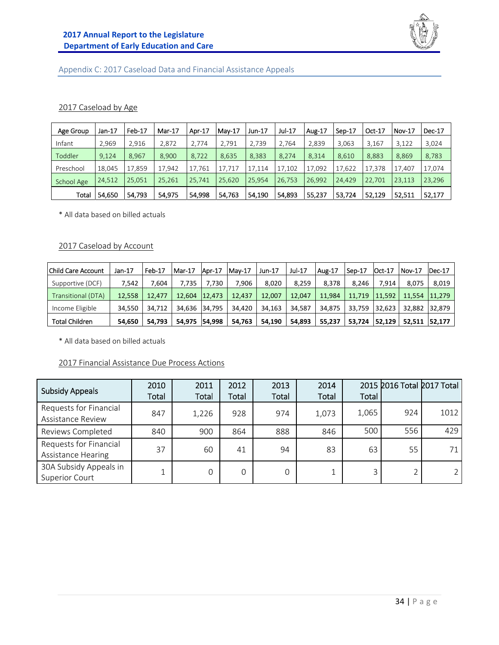

## Appendix C: 2017 Caseload Data and Financial Assistance Appeals

#### 2017 Caseload by Age

| Age Group  | Jan-17 | Feb-17 | Mar-17 | Apr-17 | Mav-17 | Jun-17 | Jul-17 | Aug-17 | Sep-17 | Oct-17 | <b>Nov-17</b> | Dec-17 |
|------------|--------|--------|--------|--------|--------|--------|--------|--------|--------|--------|---------------|--------|
| Infant     | 2,969  | 2,916  | 2,872  | 2,774  | 2,791  | 2.739  | 2,764  | 2,839  | 3,063  | 3,167  | 3,122         | 3,024  |
| Toddler    | 9,124  | 8.967  | 8,900  | 8,722  | 8,635  | 8,383  | 8,274  | 8,314  | 8,610  | 8,883  | 8,869         | 8,783  |
| Preschool  | 18.045 | 17.859 | 17.942 | 17.761 | 17.717 | 17.114 | 17.102 | 17.092 | 17.622 | 17.378 | 17.407        | 17,074 |
| School Age | 24,512 | 25.051 | 25,261 | 25,741 | 25,620 | 25.954 | 26.753 | 26,992 | 24,429 | 22,701 | 23,113        | 23,296 |
| Total      | 54,650 | 54,793 | 54,975 | 54,998 | 54,763 | 54,190 | 54,893 | 55,237 | 53,724 | 52.129 | 52,511        | 52,177 |

\* All data based on billed actuals

#### 2017 Caseload by Account

| <b>Child Care Account</b> | Jan-17 | Feb-17 | l Mar-17      | Apr-17  | Mav-17 | Jun-17 | Jul-17 | Aug-17 | Sep-17 | $Oct-17$ | l Nov-17 | IDec-17 |
|---------------------------|--------|--------|---------------|---------|--------|--------|--------|--------|--------|----------|----------|---------|
| Supportive (DCF)          | 7.542  | 7.604  | 7.735         | 7.730   | 7.906  | 8.020  | 8.259  | 8.378  | 8.246  | 7.914    | 8.075    | 8,019   |
| Transitional (DTA)        | 12.558 | 12.477 | 12.604        | 12.473  | 12.437 | 12.007 | 12.047 | 11.984 | 11,719 | 11.592   | 11.554   | 11.279  |
| Income Eligible           | 34.550 | 34.712 | 34,636 34,795 |         | 34.420 | 34,163 | 34.587 | 34.875 | 33,759 | 32.623   | 32,882   | 32.879  |
| <b>Total Children</b>     | 54.650 | 54.793 | 54,975        | 154.998 | 54.763 | 54.190 | 54.893 | 55.237 | 53.724 | 52.129   | 52.511   | 52.177  |

\* All data based on billed actuals

#### 2017 Financial Assistance Due Process Actions

| <b>Subsidy Appeals</b>                              | 2010<br>Total | 2011<br>Total | 2012<br>Total | 2013<br>Total | 2014<br>Total | Total |     | 2015 2016 Total 2017 Total |
|-----------------------------------------------------|---------------|---------------|---------------|---------------|---------------|-------|-----|----------------------------|
| Requests for Financial<br>Assistance Review         | 847           | 1,226         | 928           | 974           | 1,073         | 1,065 | 924 | 1012                       |
| Reviews Completed                                   | 840           | 900           | 864           | 888           | 846           | 500   | 556 | 429                        |
| Requests for Financial<br><b>Assistance Hearing</b> | 37            | 60            | 41            | 94            | 83            | 63    | 55  |                            |
| 30A Subsidy Appeals in<br><b>Superior Court</b>     |               | 0             | 0             | 0             | $\mathbf{I}$  | 3     |     |                            |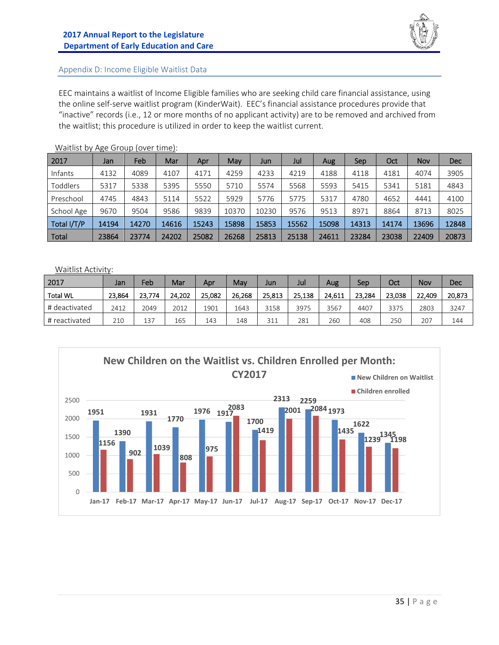

#### Appendix D: Income Eligible Waitlist Data

EEC maintains a waitlist of Income Eligible families who are seeking child care financial assistance, using the online self‐serve waitlist program (KinderWait). EEC's financial assistance procedures provide that "inactive" records (i.e., 12 or more months of no applicant activity) are to be removed and archived from the waitlist; this procedure is utilized in order to keep the waitlist current.

| 2017        | Jan   | Feb   | Mar   | Apr   | May   | Jun   | Jul   | Aug   | Sep   | Oct   | Nov   | Dec   |
|-------------|-------|-------|-------|-------|-------|-------|-------|-------|-------|-------|-------|-------|
| Infants     | 4132  | 4089  | 4107  | 4171  | 4259  | 4233  | 4219  | 4188  | 4118  | 4181  | 4074  | 3905  |
| Toddlers    | 5317  | 5338  | 5395  | 5550  | 5710  | 5574  | 5568  | 5593  | 5415  | 5341  | 5181  | 4843  |
| Preschool   | 4745  | 4843  | 5114  | 5522  | 5929  | 5776  | 5775  | 5317  | 4780  | 4652  | 4441  | 4100  |
| School Age  | 9670  | 9504  | 9586  | 9839  | 10370 | 10230 | 9576  | 9513  | 8971  | 8864  | 8713  | 8025  |
| Total I/T/P | 14194 | 14270 | 14616 | 15243 | 15898 | 15853 | 15562 | 15098 | 14313 | 14174 | 13696 | 12848 |
| Total       | 23864 | 23774 | 24202 | 25082 | 26268 | 25813 | 25138 | 24611 | 23284 | 23038 | 22409 | 20873 |

Waitlist by Age Group (over time):

Waitlist Activity:

| 2017            | Jan    | Feb    | Mar    | Apr    | May    | Jun    | Jul    | Aug    | Sep    | Oct    | Nov    | Dec    |
|-----------------|--------|--------|--------|--------|--------|--------|--------|--------|--------|--------|--------|--------|
| <b>Total WL</b> | 23.864 | 23.774 | 24.202 | 25.082 | 26.268 | 25.813 | 25.138 | 24.611 | 23.284 | 23.038 | 22.409 | 20,873 |
| # deactivated   | 2412   | 2049   | 2012   | 1901   | 1643   | 3158   | 3975   | 3567   | 4407   | 3375   | 2803   | 3247   |
| # reactivated   | 210    | 137    | 165    | 143    | 148    | 311    | 281    | 260    | 408    | 250    | 207    | 144    |

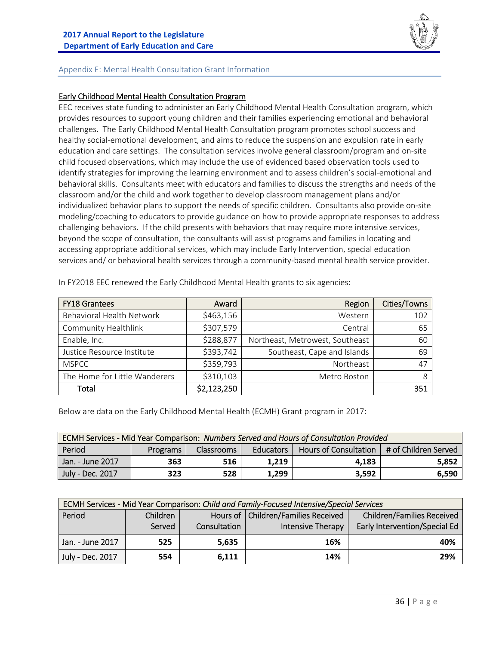

#### Appendix E: Mental Health Consultation Grant Information

#### Early Childhood Mental Health Consultation Program

EEC receives state funding to administer an Early Childhood Mental Health Consultation program, which provides resources to support young children and their families experiencing emotional and behavioral challenges. The Early Childhood Mental Health Consultation program promotes school success and healthy social-emotional development, and aims to reduce the suspension and expulsion rate in early education and care settings. The consultation services involve general classroom/program and on‐site child focused observations, which may include the use of evidenced based observation tools used to identify strategies for improving the learning environment and to assess children's social‐emotional and behavioral skills. Consultants meet with educators and families to discuss the strengths and needs of the classroom and/or the child and work together to develop classroom management plans and/or individualized behavior plans to support the needs of specific children. Consultants also provide on‐site modeling/coaching to educators to provide guidance on how to provide appropriate responses to address challenging behaviors. If the child presents with behaviors that may require more intensive services, beyond the scope of consultation, the consultants will assist programs and families in locating and accessing appropriate additional services, which may include Early Intervention, special education services and/ or behavioral health services through a community-based mental health service provider.

| <b>FY18 Grantees</b>          | Award       | Region                          | Cities/Towns |
|-------------------------------|-------------|---------------------------------|--------------|
| Behavioral Health Network     | \$463,156   | Western                         | 102          |
| Community Healthlink          | \$307,579   | Central                         | 65           |
| Enable, Inc.                  | \$288,877   | Northeast, Metrowest, Southeast | 60           |
| Justice Resource Institute    | \$393,742   | Southeast, Cape and Islands     | 69           |
| <b>MSPCC</b>                  | \$359,793   | Northeast                       | 47           |
| The Home for Little Wanderers | \$310,103   | Metro Boston                    | 8            |
| Total                         | \$2,123,250 |                                 | 351          |

In FY2018 EEC renewed the Early Childhood Mental Health grants to six agencies:

Below are data on the Early Childhood Mental Health (ECMH) Grant program in 2017:

| ECMH Services - Mid Year Comparison: Numbers Served and Hours of Consultation Provided               |     |     |       |       |       |  |  |  |  |
|------------------------------------------------------------------------------------------------------|-----|-----|-------|-------|-------|--|--|--|--|
| Hours of Consultation   # of Children Served<br>Period<br><b>Classrooms</b><br>Educators<br>Programs |     |     |       |       |       |  |  |  |  |
| Jan. - June 2017                                                                                     | 363 | 516 | 1.219 | 4.183 | 5.852 |  |  |  |  |
| July - Dec. 2017                                                                                     | 323 | 528 | 1.299 | 3.592 | 6.590 |  |  |  |  |

| ECMH Services - Mid Year Comparison: Child and Family-Focused Intensive/Special Services |                                                                                        |              |                   |                               |  |  |  |  |  |
|------------------------------------------------------------------------------------------|----------------------------------------------------------------------------------------|--------------|-------------------|-------------------------------|--|--|--|--|--|
| Period                                                                                   | Hours of   Children/Families Received<br>Children<br><b>Children/Families Received</b> |              |                   |                               |  |  |  |  |  |
|                                                                                          | Served                                                                                 | Consultation | Intensive Therapy | Early Intervention/Special Ed |  |  |  |  |  |
| Jan. - June 2017                                                                         | 525                                                                                    | 5.635        | 16%               | 40%                           |  |  |  |  |  |
| <b>July - Dec. 2017</b>                                                                  | 554                                                                                    | 6,111        | 14%               | 29%                           |  |  |  |  |  |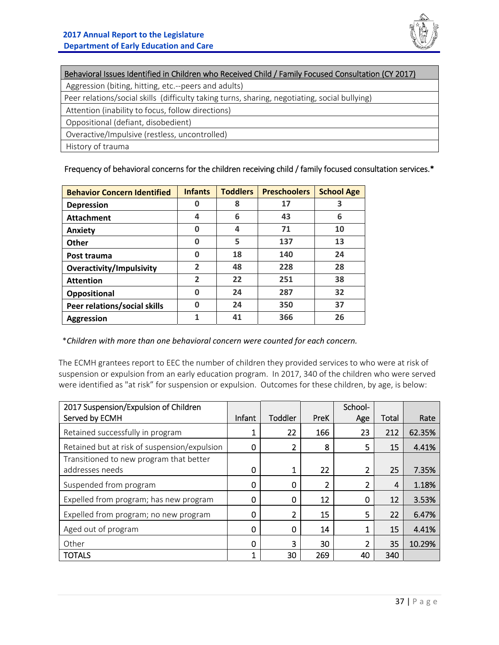

| Behavioral Issues Identified in Children who Received Child / Family Focused Consultation (CY 2017) |
|-----------------------------------------------------------------------------------------------------|
| Aggression (biting, hitting, etc.--peers and adults)                                                |
| Peer relations/social skills (difficulty taking turns, sharing, negotiating, social bullying)       |
| Attention (inability to focus, follow directions)                                                   |
| Oppositional (defiant, disobedient)                                                                 |
| Overactive/Impulsive (restless, uncontrolled)                                                       |
| History of trauma                                                                                   |

#### Frequency of behavioral concerns for the children receiving child / family focused consultation services.\*

| <b>Behavior Concern Identified</b> | <b>Infants</b> | <b>Toddlers</b> | <b>Preschoolers</b> | <b>School Age</b> |
|------------------------------------|----------------|-----------------|---------------------|-------------------|
| <b>Depression</b>                  | O              | 8               | 17                  | 3                 |
| <b>Attachment</b>                  | 4              | 6               | 43                  | 6                 |
| Anxiety                            | O              | 4               | 71                  | 10                |
| Other                              | 0              | 5               | 137                 | 13                |
| Post trauma                        | 0              | 18              | 140                 | 24                |
| <b>Overactivity/Impulsivity</b>    | $\overline{2}$ | 48              | 228                 | 28                |
| <b>Attention</b>                   | $\overline{2}$ | 22              | 251                 | 38                |
| Oppositional                       | O              | 24              | 287                 | 32                |
| Peer relations/social skills       | ŋ              | 24              | 350                 | 37                |
| <b>Aggression</b>                  |                | 41              | 366                 | 26                |

\**Children with more than one behavioral concern were counted for each concern.*

The ECMH grantees report to EEC the number of children they provided services to who were at risk of suspension or expulsion from an early education program. In 2017, 340 of the children who were served were identified as "at risk" for suspension or expulsion. Outcomes for these children, by age, is below:

| 2017 Suspension/Expulsion of Children        |        |             |      | School-      |       |        |
|----------------------------------------------|--------|-------------|------|--------------|-------|--------|
| Served by ECMH                               | Infant | Toddler     | PreK | Age          | Total | Rate   |
| Retained successfully in program             | 1      | 22          | 166  | 23           | 212   | 62.35% |
| Retained but at risk of suspension/expulsion | 0      | 2           | 8    | 5            | 15    | 4.41%  |
| Transitioned to new program that better      |        |             |      |              |       |        |
| addresses needs                              | 0      | 1           | 22   | 2            | 25    | 7.35%  |
| Suspended from program                       | 0      | $\mathbf 0$ | 2    | 2            | 4     | 1.18%  |
| Expelled from program; has new program       | 0      | 0           | 12   | 0            | 12    | 3.53%  |
| Expelled from program; no new program        | 0      | 2           | 15   | 5            | 22    | 6.47%  |
| Aged out of program                          | 0      | 0           | 14   | $\mathbf{1}$ | 15    | 4.41%  |
| Other                                        | 0      | 3           | 30   | 2            | 35    | 10.29% |
| <b>TOTALS</b>                                | 1      | 30          | 269  | 40           | 340   |        |